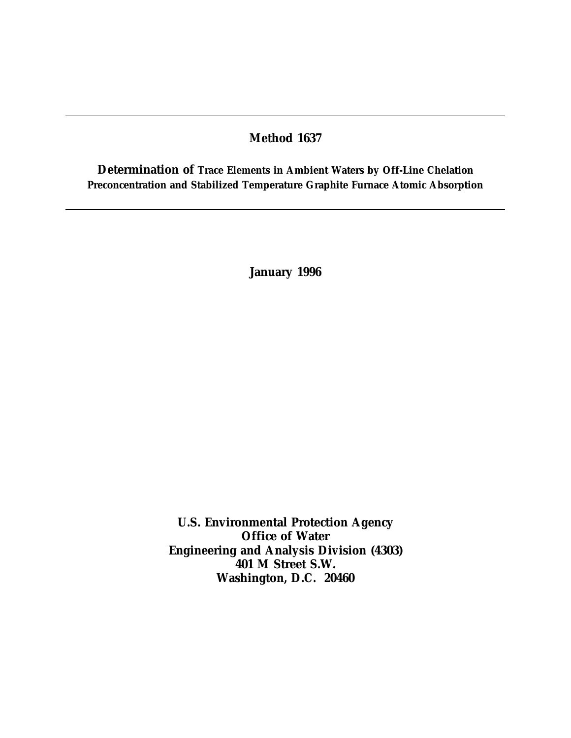### **Method 1637**

**Determination of Trace Elements in Ambient Waters by Off-Line Chelation Preconcentration and Stabilized Temperature Graphite Furnace Atomic Absorption**

**January 1996**

**U.S. Environmental Protection Agency Office of Water Engineering and Analysis Division (4303) 401 M Street S.W. Washington, D.C. 20460**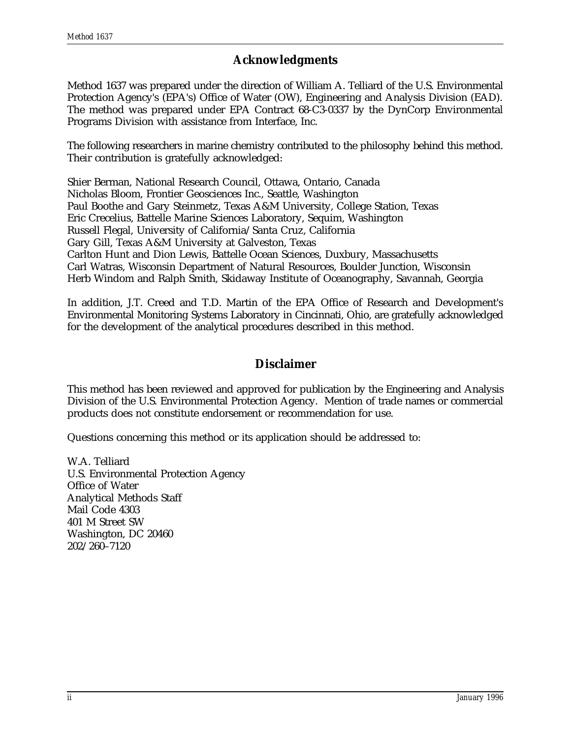# **Acknowledgments**

Method 1637 was prepared under the direction of William A. Telliard of the U.S. Environmental Protection Agency's (EPA's) Office of Water (OW), Engineering and Analysis Division (EAD). The method was prepared under EPA Contract 68-C3-0337 by the DynCorp Environmental Programs Division with assistance from Interface, Inc.

The following researchers in marine chemistry contributed to the philosophy behind this method. Their contribution is gratefully acknowledged:

Shier Berman, National Research Council, Ottawa, Ontario, Canada Nicholas Bloom, Frontier Geosciences Inc., Seattle, Washington Paul Boothe and Gary Steinmetz, Texas A&M University, College Station, Texas Eric Crecelius, Battelle Marine Sciences Laboratory, Sequim, Washington Russell Flegal, University of California/Santa Cruz, California Gary Gill, Texas A&M University at Galveston, Texas Carlton Hunt and Dion Lewis, Battelle Ocean Sciences, Duxbury, Massachusetts Carl Watras, Wisconsin Department of Natural Resources, Boulder Junction, Wisconsin Herb Windom and Ralph Smith, Skidaway Institute of Oceanography, Savannah, Georgia

In addition, J.T. Creed and T.D. Martin of the EPA Office of Research and Development's Environmental Monitoring Systems Laboratory in Cincinnati, Ohio, are gratefully acknowledged for the development of the analytical procedures described in this method.

# **Disclaimer**

This method has been reviewed and approved for publication by the Engineering and Analysis Division of the U.S. Environmental Protection Agency. Mention of trade names or commercial products does not constitute endorsement or recommendation for use.

Questions concerning this method or its application should be addressed to:

W.A. Telliard U.S. Environmental Protection Agency Office of Water Analytical Methods Staff Mail Code 4303 401 M Street SW Washington, DC 20460 202/260–7120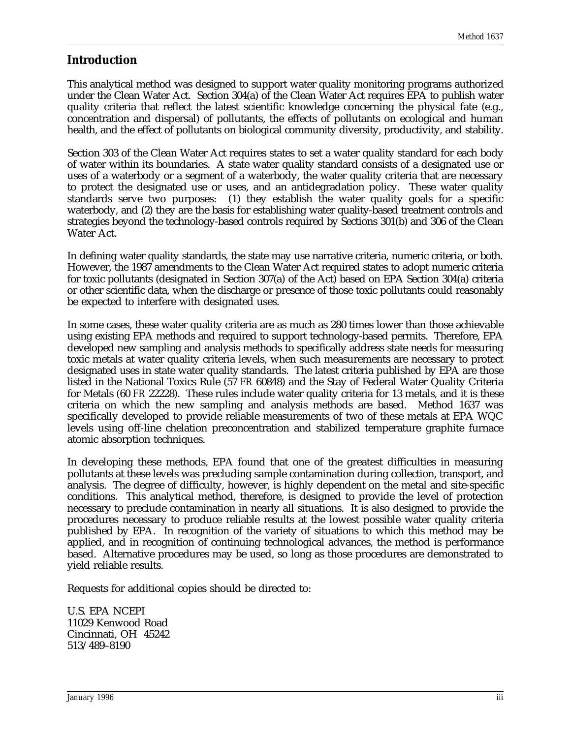# **Introduction**

This analytical method was designed to support water quality monitoring programs authorized under the Clean Water Act. Section 304(a) of the Clean Water Act requires EPA to publish water quality criteria that reflect the latest scientific knowledge concerning the physical fate (e.g., concentration and dispersal) of pollutants, the effects of pollutants on ecological and human health, and the effect of pollutants on biological community diversity, productivity, and stability.

Section 303 of the Clean Water Act requires states to set a water quality standard for each body of water within its boundaries. A state water quality standard consists of a designated use or uses of a waterbody or a segment of a waterbody, the water quality criteria that are necessary to protect the designated use or uses, and an antidegradation policy. These water quality standards serve two purposes: (1) they establish the water quality goals for a specific waterbody, and (2) they are the basis for establishing water quality-based treatment controls and strategies beyond the technology-based controls required by Sections 301(b) and 306 of the Clean Water Act.

In defining water quality standards, the state may use narrative criteria, numeric criteria, or both. However, the 1987 amendments to the Clean Water Act required states to adopt numeric criteria for toxic pollutants (designated in Section 307(a) of the Act) based on EPA Section 304(a) criteria or other scientific data, when the discharge or presence of those toxic pollutants could reasonably be expected to interfere with designated uses.

In some cases, these water quality criteria are as much as 280 times lower than those achievable using existing EPA methods and required to support technology-based permits. Therefore, EPA developed new sampling and analysis methods to specifically address state needs for measuring toxic metals at water quality criteria levels, when such measurements are necessary to protect designated uses in state water quality standards. The latest criteria published by EPA are those listed in the National Toxics Rule (57 *FR* 60848) and the Stay of Federal Water Quality Criteria for Metals (60 *FR* 22228). These rules include water quality criteria for 13 metals, and it is these criteria on which the new sampling and analysis methods are based. Method 1637 was specifically developed to provide reliable measurements of two of these metals at EPA WQC levels using off-line chelation preconcentration and stabilized temperature graphite furnace atomic absorption techniques.

In developing these methods, EPA found that one of the greatest difficulties in measuring pollutants at these levels was precluding sample contamination during collection, transport, and analysis. The degree of difficulty, however, is highly dependent on the metal and site-specific conditions. This analytical method, therefore, is designed to provide the level of protection necessary to preclude contamination in nearly all situations. It is also designed to provide the procedures necessary to produce reliable results at the lowest possible water quality criteria published by EPA. In recognition of the variety of situations to which this method may be applied, and in recognition of continuing technological advances, the method is performance based. Alternative procedures may be used, so long as those procedures are demonstrated to yield reliable results.

Requests for additional copies should be directed to:

U.S. EPA NCEPI 11029 Kenwood Road Cincinnati, OH 45242 513/489–8190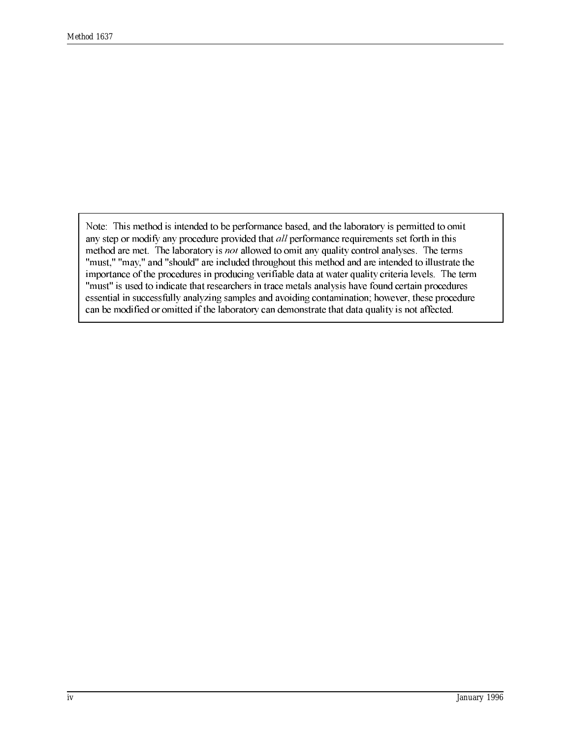Note: This method is intended to be performance based, and the laboratory is permitted to omit any step or modify any procedure provided that *all* performance requirements set forth in this method are met. The laboratory is not allowed to omit any quality control analyses. The terms "must," "may," and "should" are included throughout this method and are intended to illustrate the importance of the procedures in producing verifiable data at water quality criteria levels. The term "must" is used to indicate that researchers in trace metals analysis have found certain procedures essential in successfully analyzing samples and avoiding contamination; however, these procedure can be modified or omitted if the laboratory can demonstrate that data quality is not affected.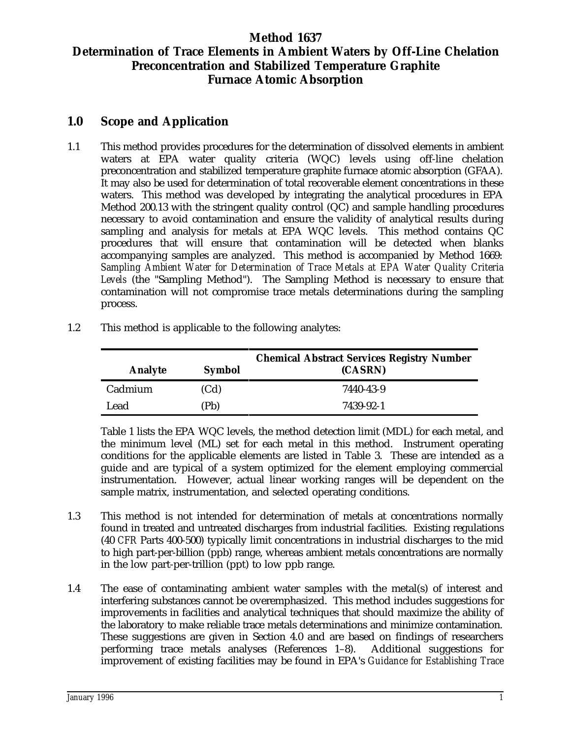# **Method 1637 Determination of Trace Elements in Ambient Waters by Off-Line Chelation Preconcentration and Stabilized Temperature Graphite Furnace Atomic Absorption**

# **1.0 Scope and Application**

- 1.1 This method provides procedures for the determination of dissolved elements in ambient waters at EPA water quality criteria (WQC) levels using off-line chelation preconcentration and stabilized temperature graphite furnace atomic absorption (GFAA). It may also be used for determination of total recoverable element concentrations in these waters. This method was developed by integrating the analytical procedures in EPA Method 200.13 with the stringent quality control (QC) and sample handling procedures necessary to avoid contamination and ensure the validity of analytical results during sampling and analysis for metals at EPA WQC levels. This method contains  $Q\bar{C}$ procedures that will ensure that contamination will be detected when blanks accompanying samples are analyzed. This method is accompanied by Method 1669: *Sampling Ambient Water for Determination of Trace Metals at EPA Water Quality Criteria Levels* (the "Sampling Method"). The Sampling Method is necessary to ensure that contamination will not compromise trace metals determinations during the sampling process.
	- **Analyte Symbol (CASRN) Chemical Abstract Services Registry Number** Cadmium (Cd) 7440-43-9 Lead (Pb) 7439-92-1
- 1.2 This method is applicable to the following analytes:

Table 1 lists the EPA WQC levels, the method detection limit (MDL) for each metal, and the minimum level (ML) set for each metal in this method. Instrument operating conditions for the applicable elements are listed in Table 3. These are intended as a guide and are typical of a system optimized for the element employing commercial instrumentation. However, actual linear working ranges will be dependent on the sample matrix, instrumentation, and selected operating conditions.

- 1.3 This method is not intended for determination of metals at concentrations normally found in treated and untreated discharges from industrial facilities. Existing regulations (40 *CFR* Parts 400-500) typically limit concentrations in industrial discharges to the mid to high part-per-billion (ppb) range, whereas ambient metals concentrations are normally in the low part-per-trillion (ppt) to low ppb range.
- 1.4 The ease of contaminating ambient water samples with the metal(s) of interest and interfering substances cannot be overemphasized. This method includes suggestions for improvements in facilities and analytical techniques that should maximize the ability of the laboratory to make reliable trace metals determinations and minimize contamination. These suggestions are given in Section 4.0 and are based on findings of researchers performing trace metals analyses (References 1–8). Additional suggestions for improvement of existing facilities may be found in EPA's *Guidance for Establishing Trace*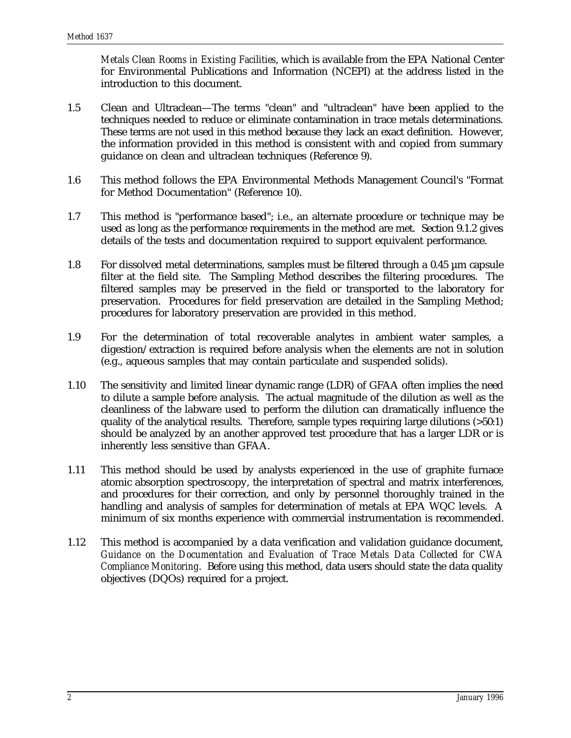*Metals Clean Rooms in Existing Facilities*, which is available from the EPA National Center for Environmental Publications and Information (NCEPI) at the address listed in the introduction to this document.

- 1.5 Clean and Ultraclean—The terms "clean" and "ultraclean" have been applied to the techniques needed to reduce or eliminate contamination in trace metals determinations. These terms are not used in this method because they lack an exact definition. However, the information provided in this method is consistent with and copied from summary guidance on clean and ultraclean techniques (Reference 9).
- 1.6 This method follows the EPA Environmental Methods Management Council's "Format for Method Documentation" (Reference 10).
- 1.7 This method is "performance based"; i.e., an alternate procedure or technique may be used as long as the performance requirements in the method are met. Section 9.1.2 gives details of the tests and documentation required to support equivalent performance.
- 1.8 For dissolved metal determinations, samples must be filtered through a 0.45 µm capsule filter at the field site. The Sampling Method describes the filtering procedures. The filtered samples may be preserved in the field or transported to the laboratory for preservation. Procedures for field preservation are detailed in the Sampling Method; procedures for laboratory preservation are provided in this method.
- 1.9 For the determination of total recoverable analytes in ambient water samples, a digestion/extraction is required before analysis when the elements are not in solution (e.g., aqueous samples that may contain particulate and suspended solids).
- 1.10 The sensitivity and limited linear dynamic range (LDR) of GFAA often implies the need to dilute a sample before analysis. The actual magnitude of the dilution as well as the cleanliness of the labware used to perform the dilution can dramatically influence the quality of the analytical results. Therefore, sample types requiring large dilutions (>50:1) should be analyzed by an another approved test procedure that has a larger LDR or is inherently less sensitive than GFAA.
- 1.11 This method should be used by analysts experienced in the use of graphite furnace atomic absorption spectroscopy, the interpretation of spectral and matrix interferences, and procedures for their correction, and only by personnel thoroughly trained in the handling and analysis of samples for determination of metals at EPA WQC levels. A minimum of six months experience with commercial instrumentation is recommended.
- 1.12 This method is accompanied by a data verification and validation guidance document, *Guidance on the Documentation and Evaluation of Trace Metals Data Collected for CWA Compliance Monitoring*. Before using this method, data users should state the data quality objectives (DQOs) required for a project.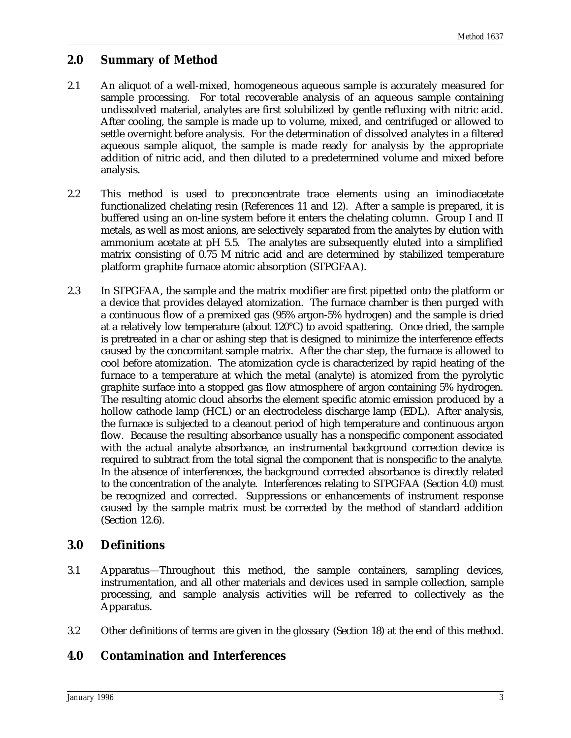# **2.0 Summary of Method**

- 2.1 An aliquot of a well-mixed, homogeneous aqueous sample is accurately measured for sample processing. For total recoverable analysis of an aqueous sample containing undissolved material, analytes are first solubilized by gentle refluxing with nitric acid. After cooling, the sample is made up to volume, mixed, and centrifuged or allowed to settle overnight before analysis. For the determination of dissolved analytes in a filtered aqueous sample aliquot, the sample is made ready for analysis by the appropriate addition of nitric acid, and then diluted to a predetermined volume and mixed before analysis.
- 2.2 This method is used to preconcentrate trace elements using an iminodiacetate functionalized chelating resin (References 11 and 12). After a sample is prepared, it is buffered using an on-line system before it enters the chelating column. Group I and II metals, as well as most anions, are selectively separated from the analytes by elution with ammonium acetate at pH 5.5. The analytes are subsequently eluted into a simplified matrix consisting of 0.75 M nitric acid and are determined by stabilized temperature platform graphite furnace atomic absorption (STPGFAA).
- 2.3 In STPGFAA, the sample and the matrix modifier are first pipetted onto the platform or a device that provides delayed atomization. The furnace chamber is then purged with a continuous flow of a premixed gas (95% argon-5% hydrogen) and the sample is dried at a relatively low temperature (about 120°C) to avoid spattering. Once dried, the sample is pretreated in a char or ashing step that is designed to minimize the interference effects caused by the concomitant sample matrix. After the char step, the furnace is allowed to cool before atomization. The atomization cycle is characterized by rapid heating of the furnace to a temperature at which the metal (analyte) is atomized from the pyrolytic graphite surface into a stopped gas flow atmosphere of argon containing 5% hydrogen. The resulting atomic cloud absorbs the element specific atomic emission produced by a hollow cathode lamp (HCL) or an electrodeless discharge lamp (EDL). After analysis, the furnace is subjected to a cleanout period of high temperature and continuous argon flow. Because the resulting absorbance usually has a nonspecific component associated with the actual analyte absorbance, an instrumental background correction device is required to subtract from the total signal the component that is nonspecific to the analyte. In the absence of interferences, the background corrected absorbance is directly related to the concentration of the analyte. Interferences relating to STPGFAA (Section 4.0) must be recognized and corrected. Suppressions or enhancements of instrument response caused by the sample matrix must be corrected by the method of standard addition (Section 12.6).

# **3.0 Definitions**

- 3.1 Apparatus—Throughout this method, the sample containers, sampling devices, instrumentation, and all other materials and devices used in sample collection, sample processing, and sample analysis activities will be referred to collectively as the Apparatus.
- 3.2 Other definitions of terms are given in the glossary (Section 18) at the end of this method.

# **4.0 Contamination and Interferences**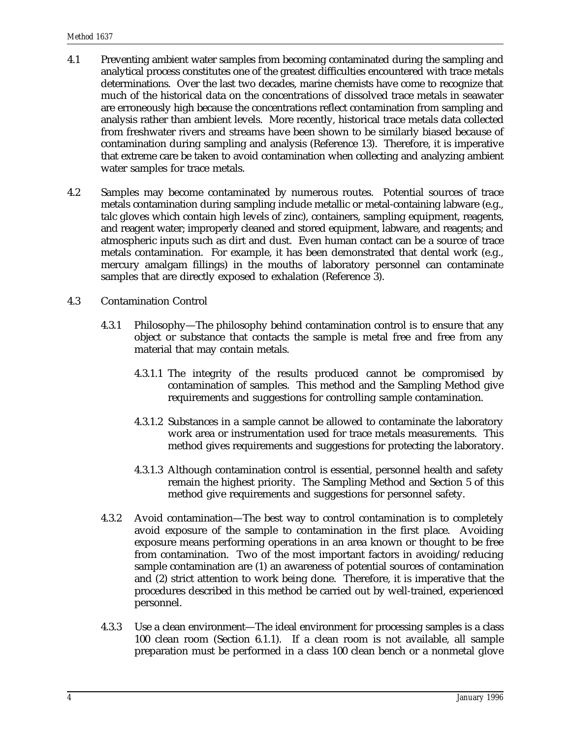- 4.1 Preventing ambient water samples from becoming contaminated during the sampling and analytical process constitutes one of the greatest difficulties encountered with trace metals determinations. Over the last two decades, marine chemists have come to recognize that much of the historical data on the concentrations of dissolved trace metals in seawater are erroneously high because the concentrations reflect contamination from sampling and analysis rather than ambient levels. More recently, historical trace metals data collected from freshwater rivers and streams have been shown to be similarly biased because of contamination during sampling and analysis (Reference 13). Therefore, it is imperative that extreme care be taken to avoid contamination when collecting and analyzing ambient water samples for trace metals.
- 4.2 Samples may become contaminated by numerous routes. Potential sources of trace metals contamination during sampling include metallic or metal-containing labware (e.g., talc gloves which contain high levels of zinc), containers, sampling equipment, reagents, and reagent water; improperly cleaned and stored equipment, labware, and reagents; and atmospheric inputs such as dirt and dust. Even human contact can be a source of trace metals contamination. For example, it has been demonstrated that dental work (e.g., mercury amalgam fillings) in the mouths of laboratory personnel can contaminate samples that are directly exposed to exhalation (Reference 3).
- 4.3 Contamination Control
	- 4.3.1 Philosophy—The philosophy behind contamination control is to ensure that any object or substance that contacts the sample is metal free and free from any material that may contain metals.
		- 4.3.1.1 The integrity of the results produced cannot be compromised by contamination of samples. This method and the Sampling Method give requirements and suggestions for controlling sample contamination.
		- 4.3.1.2 Substances in a sample cannot be allowed to contaminate the laboratory work area or instrumentation used for trace metals measurements. This method gives requirements and suggestions for protecting the laboratory.
		- 4.3.1.3 Although contamination control is essential, personnel health and safety remain the highest priority. The Sampling Method and Section 5 of this method give requirements and suggestions for personnel safety.
	- 4.3.2 Avoid contamination—The best way to control contamination is to completely avoid exposure of the sample to contamination in the first place. Avoiding exposure means performing operations in an area known or thought to be free from contamination. Two of the most important factors in avoiding/reducing sample contamination are (1) an awareness of potential sources of contamination and (2) strict attention to work being done. Therefore, it is imperative that the procedures described in this method be carried out by well-trained, experienced personnel.
	- 4.3.3 Use a clean environment—The ideal environment for processing samples is a class 100 clean room (Section 6.1.1). If a clean room is not available, all sample preparation must be performed in a class 100 clean bench or a nonmetal glove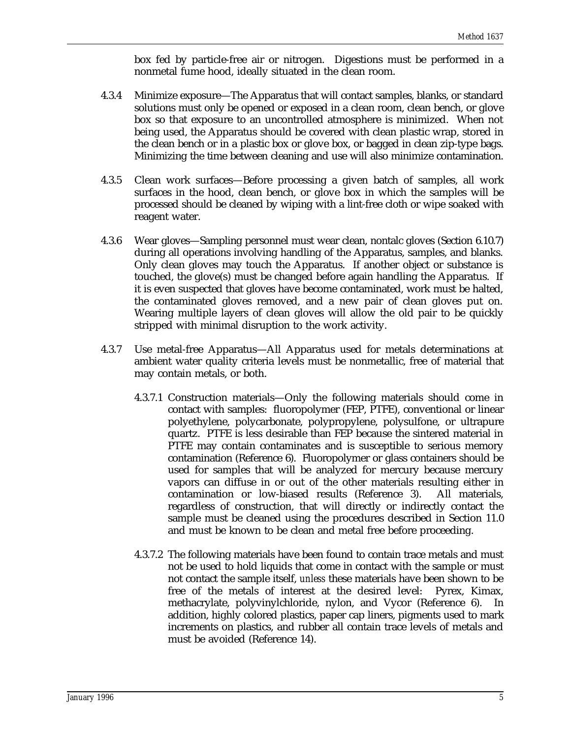box fed by particle-free air or nitrogen. Digestions must be performed in a nonmetal fume hood, ideally situated in the clean room.

- 4.3.4 Minimize exposure—The Apparatus that will contact samples, blanks, or standard solutions must only be opened or exposed in a clean room, clean bench, or glove box so that exposure to an uncontrolled atmosphere is minimized. When not being used, the Apparatus should be covered with clean plastic wrap, stored in the clean bench or in a plastic box or glove box, or bagged in clean zip-type bags. Minimizing the time between cleaning and use will also minimize contamination.
- 4.3.5 Clean work surfaces—Before processing a given batch of samples, all work surfaces in the hood, clean bench, or glove box in which the samples will be processed should be cleaned by wiping with a lint-free cloth or wipe soaked with reagent water.
- 4.3.6 Wear gloves—Sampling personnel must wear clean, nontalc gloves (Section 6.10.7) during all operations involving handling of the Apparatus, samples, and blanks. Only clean gloves may touch the Apparatus. If another object or substance is touched, the glove(s) must be changed before again handling the Apparatus. If it is even suspected that gloves have become contaminated, work must be halted, the contaminated gloves removed, and a new pair of clean gloves put on. Wearing multiple layers of clean gloves will allow the old pair to be quickly stripped with minimal disruption to the work activity.
- 4.3.7 Use metal-free Apparatus—All Apparatus used for metals determinations at ambient water quality criteria levels must be nonmetallic, free of material that may contain metals, or both.
	- 4.3.7.1 Construction materials—Only the following materials should come in contact with samples: fluoropolymer (FEP, PTFE), conventional or linear polyethylene, polycarbonate, polypropylene, polysulfone, or ultrapure quartz. PTFE is less desirable than FEP because the sintered material in PTFE may contain contaminates and is susceptible to serious memory contamination (Reference 6). Fluoropolymer or glass containers should be used for samples that will be analyzed for mercury because mercury vapors can diffuse in or out of the other materials resulting either in contamination or low-biased results (Reference 3). All materials, regardless of construction, that will directly or indirectly contact the sample must be cleaned using the procedures described in Section 11.0 and must be known to be clean and metal free before proceeding.
	- 4.3.7.2 The following materials have been found to contain trace metals and must not be used to hold liquids that come in contact with the sample or must not contact the sample itself, *unless* these materials have been shown to be free of the metals of interest at the desired level: Pyrex, Kimax, methacrylate, polyvinylchloride, nylon, and Vycor (Reference 6). In addition, highly colored plastics, paper cap liners, pigments used to mark increments on plastics, and rubber all contain trace levels of metals and must be avoided (Reference 14).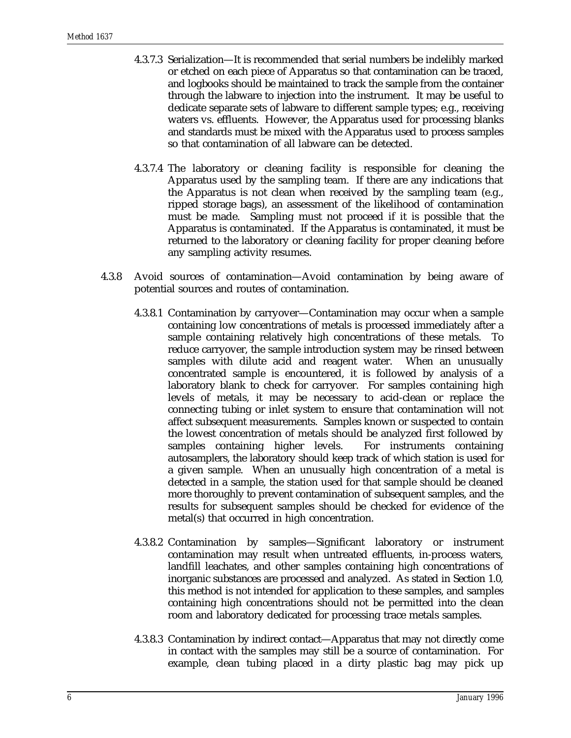- 4.3.7.3 Serialization—It is recommended that serial numbers be indelibly marked or etched on each piece of Apparatus so that contamination can be traced, and logbooks should be maintained to track the sample from the container through the labware to injection into the instrument. It may be useful to dedicate separate sets of labware to different sample types; e.g., receiving waters vs. effluents. However, the Apparatus used for processing blanks and standards must be mixed with the Apparatus used to process samples so that contamination of all labware can be detected.
- 4.3.7.4 The laboratory or cleaning facility is responsible for cleaning the Apparatus used by the sampling team. If there are any indications that the Apparatus is not clean when received by the sampling team (e.g., ripped storage bags), an assessment of the likelihood of contamination must be made. Sampling must not proceed if it is possible that the Apparatus is contaminated. If the Apparatus is contaminated, it must be returned to the laboratory or cleaning facility for proper cleaning before any sampling activity resumes.
- 4.3.8 Avoid sources of contamination—Avoid contamination by being aware of potential sources and routes of contamination.
	- 4.3.8.1 Contamination by carryover—Contamination may occur when a sample containing low concentrations of metals is processed immediately after a sample containing relatively high concentrations of these metals. To reduce carryover, the sample introduction system may be rinsed between samples with dilute acid and reagent water. When an unusually concentrated sample is encountered, it is followed by analysis of a laboratory blank to check for carryover. For samples containing high levels of metals, it may be necessary to acid-clean or replace the connecting tubing or inlet system to ensure that contamination will not affect subsequent measurements. Samples known or suspected to contain the lowest concentration of metals should be analyzed first followed by samples containing higher levels. For instruments containing autosamplers, the laboratory should keep track of which station is used for a given sample. When an unusually high concentration of a metal is detected in a sample, the station used for that sample should be cleaned more thoroughly to prevent contamination of subsequent samples, and the results for subsequent samples should be checked for evidence of the metal(s) that occurred in high concentration.
	- 4.3.8.2 Contamination by samples—Significant laboratory or instrument contamination may result when untreated effluents, in-process waters, landfill leachates, and other samples containing high concentrations of inorganic substances are processed and analyzed. As stated in Section 1.0, this method is not intended for application to these samples, and samples containing high concentrations should not be permitted into the clean room and laboratory dedicated for processing trace metals samples.
	- 4.3.8.3 Contamination by indirect contact—Apparatus that may not directly come in contact with the samples may still be a source of contamination. For example, clean tubing placed in a dirty plastic bag may pick up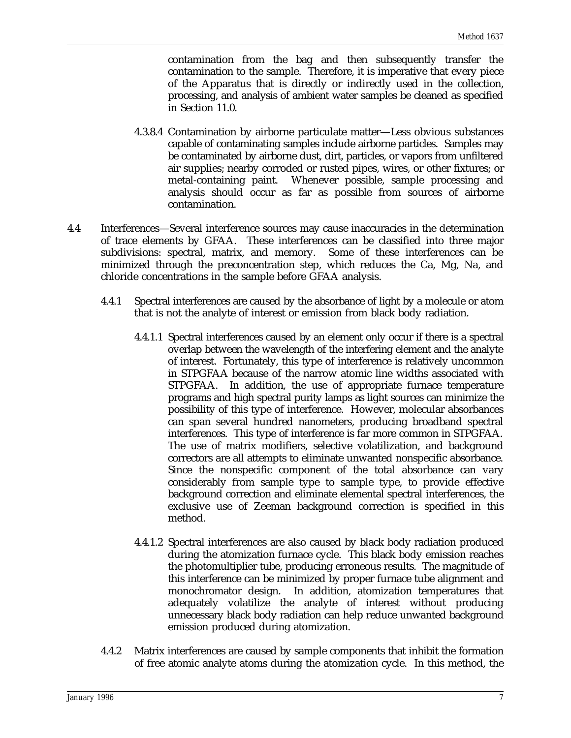contamination from the bag and then subsequently transfer the contamination to the sample. Therefore, it is imperative that every piece of the Apparatus that is directly or indirectly used in the collection, processing, and analysis of ambient water samples be cleaned as specified in Section 11.0.

- 4.3.8.4 Contamination by airborne particulate matter—Less obvious substances capable of contaminating samples include airborne particles. Samples may be contaminated by airborne dust, dirt, particles, or vapors from unfiltered air supplies; nearby corroded or rusted pipes, wires, or other fixtures; or metal-containing paint. Whenever possible, sample processing and analysis should occur as far as possible from sources of airborne contamination.
- 4.4 Interferences—Several interference sources may cause inaccuracies in the determination of trace elements by GFAA. These interferences can be classified into three major subdivisions: spectral, matrix, and memory. Some of these interferences can be minimized through the preconcentration step, which reduces the Ca, Mg, Na, and chloride concentrations in the sample before GFAA analysis.
	- 4.4.1 Spectral interferences are caused by the absorbance of light by a molecule or atom that is not the analyte of interest or emission from black body radiation.
		- 4.4.1.1 Spectral interferences caused by an element only occur if there is a spectral overlap between the wavelength of the interfering element and the analyte of interest. Fortunately, this type of interference is relatively uncommon in STPGFAA because of the narrow atomic line widths associated with STPGFAA. In addition, the use of appropriate furnace temperature programs and high spectral purity lamps as light sources can minimize the possibility of this type of interference. However, molecular absorbances can span several hundred nanometers, producing broadband spectral interferences. This type of interference is far more common in STPGFAA. The use of matrix modifiers, selective volatilization, and background correctors are all attempts to eliminate unwanted nonspecific absorbance. Since the nonspecific component of the total absorbance can vary considerably from sample type to sample type, to provide effective background correction and eliminate elemental spectral interferences, the exclusive use of Zeeman background correction is specified in this method.
		- 4.4.1.2 Spectral interferences are also caused by black body radiation produced during the atomization furnace cycle. This black body emission reaches the photomultiplier tube, producing erroneous results. The magnitude of this interference can be minimized by proper furnace tube alignment and monochromator design. In addition, atomization temperatures that adequately volatilize the analyte of interest without producing unnecessary black body radiation can help reduce unwanted background emission produced during atomization.
	- 4.4.2 Matrix interferences are caused by sample components that inhibit the formation of free atomic analyte atoms during the atomization cycle. In this method, the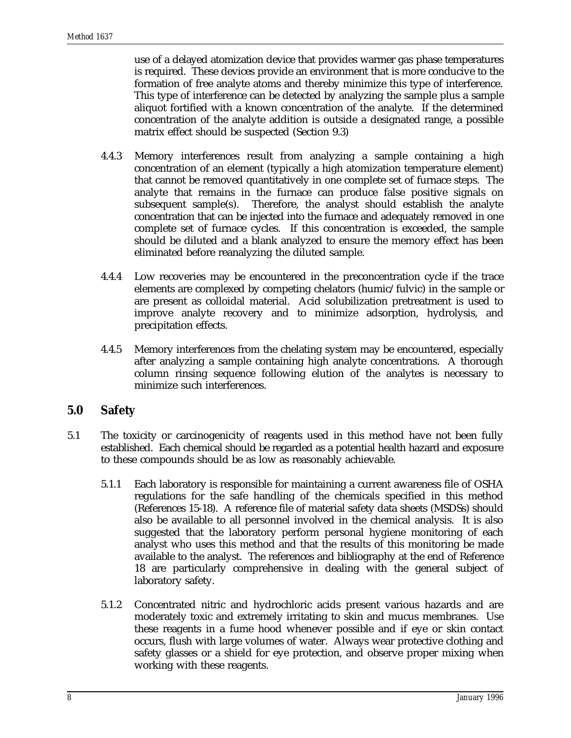use of a delayed atomization device that provides warmer gas phase temperatures is required. These devices provide an environment that is more conducive to the formation of free analyte atoms and thereby minimize this type of interference. This type of interference can be detected by analyzing the sample plus a sample aliquot fortified with a known concentration of the analyte. If the determined concentration of the analyte addition is outside a designated range, a possible matrix effect should be suspected (Section 9.3)

- 4.4.3 Memory interferences result from analyzing a sample containing a high concentration of an element (typically a high atomization temperature element) that cannot be removed quantitatively in one complete set of furnace steps. The analyte that remains in the furnace can produce false positive signals on subsequent sample(s). Therefore, the analyst should establish the analyte concentration that can be injected into the furnace and adequately removed in one complete set of furnace cycles. If this concentration is exceeded, the sample should be diluted and a blank analyzed to ensure the memory effect has been eliminated before reanalyzing the diluted sample.
- 4.4.4 Low recoveries may be encountered in the preconcentration cycle if the trace elements are complexed by competing chelators (humic/fulvic) in the sample or are present as colloidal material. Acid solubilization pretreatment is used to improve analyte recovery and to minimize adsorption, hydrolysis, and precipitation effects.
- 4.4.5 Memory interferences from the chelating system may be encountered, especially after analyzing a sample containing high analyte concentrations. A thorough column rinsing sequence following elution of the analytes is necessary to minimize such interferences.

#### **5.0 Safety**

- 5.1 The toxicity or carcinogenicity of reagents used in this method have not been fully established. Each chemical should be regarded as a potential health hazard and exposure to these compounds should be as low as reasonably achievable.
	- 5.1.1 Each laboratory is responsible for maintaining a current awareness file of OSHA regulations for the safe handling of the chemicals specified in this method (References 15-18). A reference file of material safety data sheets (MSDSs) should also be available to all personnel involved in the chemical analysis. It is also suggested that the laboratory perform personal hygiene monitoring of each analyst who uses this method and that the results of this monitoring be made available to the analyst. The references and bibliography at the end of Reference 18 are particularly comprehensive in dealing with the general subject of laboratory safety.
	- 5.1.2 Concentrated nitric and hydrochloric acids present various hazards and are moderately toxic and extremely irritating to skin and mucus membranes. Use these reagents in a fume hood whenever possible and if eye or skin contact occurs, flush with large volumes of water. Always wear protective clothing and safety glasses or a shield for eye protection, and observe proper mixing when working with these reagents.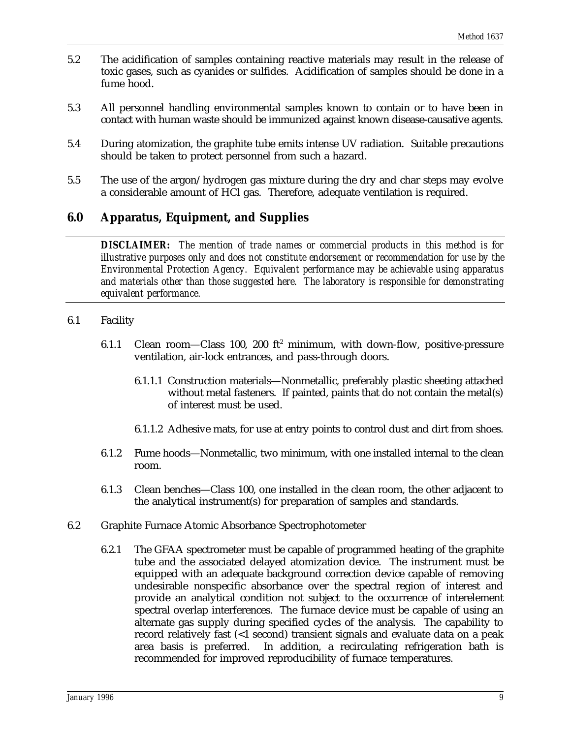- 5.2 The acidification of samples containing reactive materials may result in the release of toxic gases, such as cyanides or sulfides. Acidification of samples should be done in a fume hood.
- 5.3 All personnel handling environmental samples known to contain or to have been in contact with human waste should be immunized against known disease-causative agents.
- 5.4 During atomization, the graphite tube emits intense UV radiation. Suitable precautions should be taken to protect personnel from such a hazard.
- 5.5 The use of the argon/hydrogen gas mixture during the dry and char steps may evolve a considerable amount of HCl gas. Therefore, adequate ventilation is required.

### **6.0 Apparatus, Equipment, and Supplies**

*DISCLAIMER: The mention of trade names or commercial products in this method is for illustrative purposes only and does not constitute endorsement or recommendation for use by the Environmental Protection Agency. Equivalent performance may be achievable using apparatus and materials other than those suggested here. The laboratory is responsible for demonstrating equivalent performance.*

#### 6.1 Facility

- 6.1.1 Clean room—Class 100, 200  $ft^2$  minimum, with down-flow, positive-pressure ventilation, air-lock entrances, and pass-through doors.
	- 6.1.1.1 Construction materials—Nonmetallic, preferably plastic sheeting attached without metal fasteners. If painted, paints that do not contain the metal(s) of interest must be used.
	- 6.1.1.2 Adhesive mats, for use at entry points to control dust and dirt from shoes.
- 6.1.2 Fume hoods—Nonmetallic, two minimum, with one installed internal to the clean room.
- 6.1.3 Clean benches—Class 100, one installed in the clean room, the other adjacent to the analytical instrument(s) for preparation of samples and standards.
- 6.2 Graphite Furnace Atomic Absorbance Spectrophotometer
	- 6.2.1 The GFAA spectrometer must be capable of programmed heating of the graphite tube and the associated delayed atomization device. The instrument must be equipped with an adequate background correction device capable of removing undesirable nonspecific absorbance over the spectral region of interest and provide an analytical condition not subject to the occurrence of interelement spectral overlap interferences. The furnace device must be capable of using an alternate gas supply during specified cycles of the analysis. The capability to record relatively fast (<1 second) transient signals and evaluate data on a peak area basis is preferred. In addition, a recirculating refrigeration bath is recommended for improved reproducibility of furnace temperatures.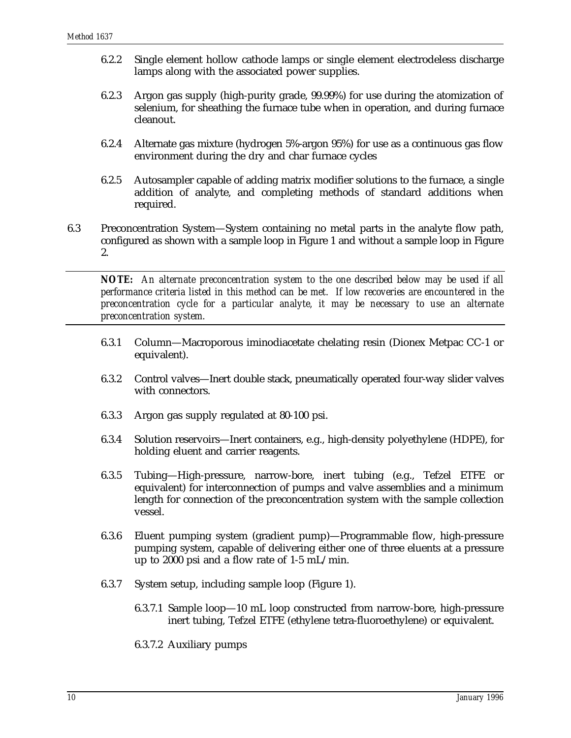- 6.2.2 Single element hollow cathode lamps or single element electrodeless discharge lamps along with the associated power supplies.
- 6.2.3 Argon gas supply (high-purity grade, 99.99%) for use during the atomization of selenium, for sheathing the furnace tube when in operation, and during furnace cleanout.
- 6.2.4 Alternate gas mixture (hydrogen 5%-argon 95%) for use as a continuous gas flow environment during the dry and char furnace cycles
- 6.2.5 Autosampler capable of adding matrix modifier solutions to the furnace, a single addition of analyte, and completing methods of standard additions when required.
- 6.3 Preconcentration System—System containing no metal parts in the analyte flow path, configured as shown with a sample loop in Figure 1 and without a sample loop in Figure 2.

*NOTE: An alternate preconcentration system to the one described below may be used if all performance criteria listed in this method can be met. If low recoveries are encountered in the preconcentration cycle for a particular analyte, it may be necessary to use an alternate preconcentration system.*

- 6.3.1 Column—Macroporous iminodiacetate chelating resin (Dionex Metpac CC-1 or equivalent).
- 6.3.2 Control valves—Inert double stack, pneumatically operated four-way slider valves with connectors.
- 6.3.3 Argon gas supply regulated at 80-100 psi.
- 6.3.4 Solution reservoirs—Inert containers, e.g., high-density polyethylene (HDPE), for holding eluent and carrier reagents.
- 6.3.5 Tubing—High-pressure, narrow-bore, inert tubing (e.g., Tefzel ETFE or equivalent) for interconnection of pumps and valve assemblies and a minimum length for connection of the preconcentration system with the sample collection vessel.
- 6.3.6 Eluent pumping system (gradient pump)—Programmable flow, high-pressure pumping system, capable of delivering either one of three eluents at a pressure up to 2000 psi and a flow rate of 1-5 mL/min.
- 6.3.7 System setup, including sample loop (Figure 1).
	- 6.3.7.1 Sample loop—10 mL loop constructed from narrow-bore, high-pressure inert tubing, Tefzel ETFE (ethylene tetra-fluoroethylene) or equivalent.
	- 6.3.7.2 Auxiliary pumps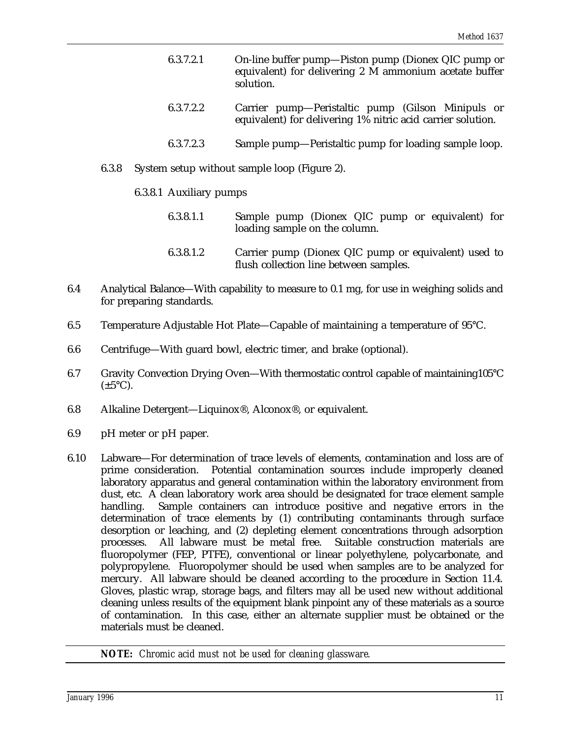- 6.3.7.2.1 On-line buffer pump—Piston pump (Dionex QIC pump or equivalent) for delivering 2 M ammonium acetate buffer solution.
- 6.3.7.2.2 Carrier pump—Peristaltic pump (Gilson Minipuls or equivalent) for delivering 1% nitric acid carrier solution.
- 6.3.7.2.3 Sample pump—Peristaltic pump for loading sample loop.
- 6.3.8 System setup without sample loop (Figure 2).

#### 6.3.8.1 Auxiliary pumps

- 6.3.8.1.1 Sample pump (Dionex QIC pump or equivalent) for loading sample on the column.
- 6.3.8.1.2 Carrier pump (Dionex QIC pump or equivalent) used to flush collection line between samples.
- 6.4 Analytical Balance—With capability to measure to 0.1 mg, for use in weighing solids and for preparing standards.
- 6.5 Temperature Adjustable Hot Plate—Capable of maintaining a temperature of 95°C.
- 6.6 Centrifuge—With guard bowl, electric timer, and brake (optional).
- 6.7 Gravity Convection Drying Oven—With thermostatic control capable of maintaining105°C  $(\pm 5^{\circ}C).$
- 6.8 Alkaline Detergent—Liquinox®, Alconox®, or equivalent.
- 6.9 pH meter or pH paper.
- 6.10 Labware—For determination of trace levels of elements, contamination and loss are of prime consideration. Potential contamination sources include improperly cleaned laboratory apparatus and general contamination within the laboratory environment from dust, etc. A clean laboratory work area should be designated for trace element sample handling. Sample containers can introduce positive and negative errors in the determination of trace elements by (1) contributing contaminants through surface desorption or leaching, and (2) depleting element concentrations through adsorption processes. All labware must be metal free. Suitable construction materials are fluoropolymer (FEP, PTFE), conventional or linear polyethylene, polycarbonate, and polypropylene. Fluoropolymer should be used when samples are to be analyzed for mercury. All labware should be cleaned according to the procedure in Section 11.4. Gloves, plastic wrap, storage bags, and filters may all be used new without additional cleaning unless results of the equipment blank pinpoint any of these materials as a source of contamination. In this case, either an alternate supplier must be obtained or the materials must be cleaned.

*NOTE: Chromic acid must not be used for cleaning glassware.*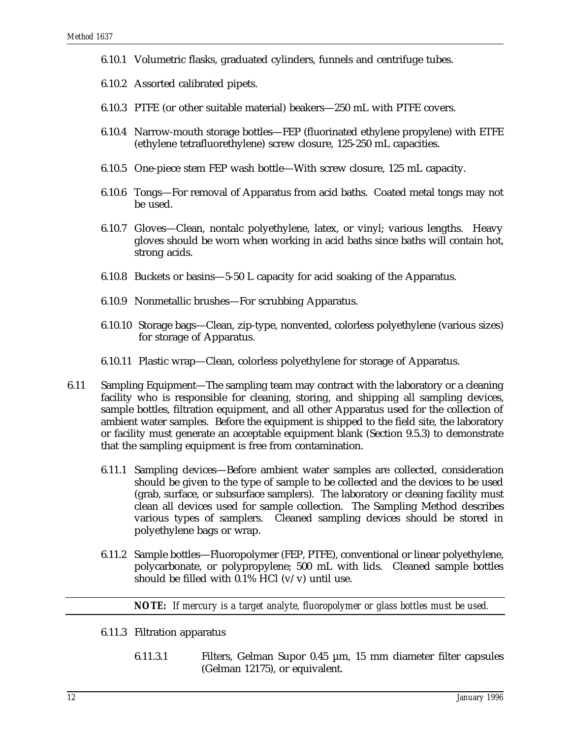- 6.10.1 Volumetric flasks, graduated cylinders, funnels and centrifuge tubes.
- 6.10.2 Assorted calibrated pipets.
- 6.10.3 PTFE (or other suitable material) beakers—250 mL with PTFE covers.
- 6.10.4 Narrow-mouth storage bottles—FEP (fluorinated ethylene propylene) with ETFE (ethylene tetrafluorethylene) screw closure, 125-250 mL capacities.
- 6.10.5 One-piece stem FEP wash bottle—With screw closure, 125 mL capacity.
- 6.10.6 Tongs—For removal of Apparatus from acid baths. Coated metal tongs may not be used.
- 6.10.7 Gloves—Clean, nontalc polyethylene, latex, or vinyl; various lengths. Heavy gloves should be worn when working in acid baths since baths will contain hot, strong acids.
- 6.10.8 Buckets or basins—5-50 L capacity for acid soaking of the Apparatus.
- 6.10.9 Nonmetallic brushes—For scrubbing Apparatus.
- 6.10.10 Storage bags—Clean, zip-type, nonvented, colorless polyethylene (various sizes) for storage of Apparatus.
- 6.10.11 Plastic wrap—Clean, colorless polyethylene for storage of Apparatus.
- 6.11 Sampling Equipment—The sampling team may contract with the laboratory or a cleaning facility who is responsible for cleaning, storing, and shipping all sampling devices, sample bottles, filtration equipment, and all other Apparatus used for the collection of ambient water samples. Before the equipment is shipped to the field site, the laboratory or facility must generate an acceptable equipment blank (Section 9.5.3) to demonstrate that the sampling equipment is free from contamination.
	- 6.11.1 Sampling devices—Before ambient water samples are collected, consideration should be given to the type of sample to be collected and the devices to be used (grab, surface, or subsurface samplers). The laboratory or cleaning facility must clean all devices used for sample collection. The Sampling Method describes various types of samplers. Cleaned sampling devices should be stored in polyethylene bags or wrap.
	- 6.11.2 Sample bottles—Fluoropolymer (FEP, PTFE), conventional or linear polyethylene, polycarbonate, or polypropylene; 500 mL with lids. Cleaned sample bottles should be filled with  $0.1\%$  HCl (v/v) until use.

*NOTE: If mercury is a target analyte, fluoropolymer or glass bottles must be used.* 

- 6.11.3 Filtration apparatus
	- 6.11.3.1 Filters, Gelman Supor 0.45 µm, 15 mm diameter filter capsules (Gelman 12175), or equivalent.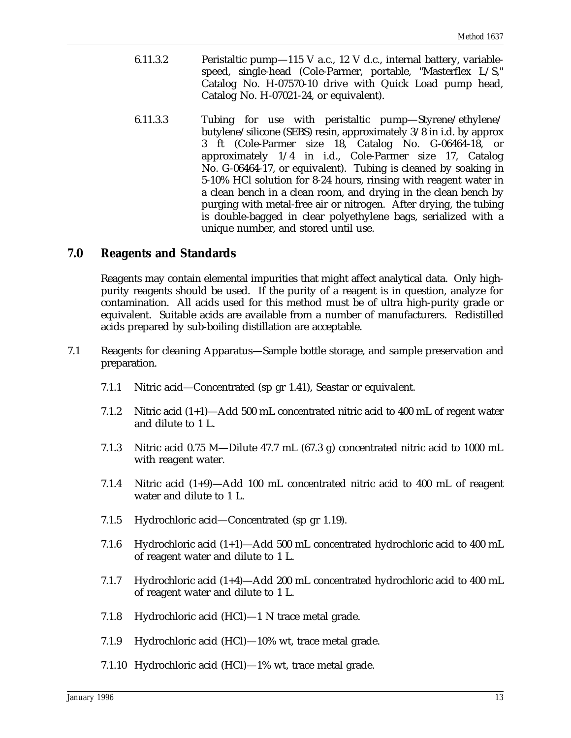- 6.11.3.2 Peristaltic pump—115 V a.c., 12 V d.c., internal battery, variablespeed, single-head (Cole-Parmer, portable, "Masterflex L/S," Catalog No. H-07570-10 drive with Quick Load pump head, Catalog No. H-07021-24, or equivalent).
- 6.11.3.3 Tubing for use with peristaltic pump—Styrene/ethylene/ butylene/silicone (SEBS) resin, approximately 3/8 in i.d. by approx 3 ft (Cole-Parmer size 18, Catalog No. G-06464-18, or approximately 1/4 in i.d., Cole-Parmer size 17, Catalog No. G-06464-17, or equivalent). Tubing is cleaned by soaking in 5-10% HCl solution for 8-24 hours, rinsing with reagent water in a clean bench in a clean room, and drying in the clean bench by purging with metal-free air or nitrogen. After drying, the tubing is double-bagged in clear polyethylene bags, serialized with a unique number, and stored until use.

### **7.0 Reagents and Standards**

Reagents may contain elemental impurities that might affect analytical data. Only highpurity reagents should be used. If the purity of a reagent is in question, analyze for contamination. All acids used for this method must be of ultra high-purity grade or equivalent. Suitable acids are available from a number of manufacturers. Redistilled acids prepared by sub-boiling distillation are acceptable.

- 7.1 Reagents for cleaning Apparatus—Sample bottle storage, and sample preservation and preparation.
	- 7.1.1 Nitric acid—Concentrated (sp gr 1.41), Seastar or equivalent.
	- 7.1.2 Nitric acid (1+1)—Add 500 mL concentrated nitric acid to 400 mL of regent water and dilute to 1 L.
	- 7.1.3 Nitric acid 0.75 M—Dilute 47.7 mL (67.3 g) concentrated nitric acid to 1000 mL with reagent water.
	- 7.1.4 Nitric acid (1+9)—Add 100 mL concentrated nitric acid to 400 mL of reagent water and dilute to 1 L.
	- 7.1.5 Hydrochloric acid—Concentrated (sp gr 1.19).
	- 7.1.6 Hydrochloric acid (1+1)—Add 500 mL concentrated hydrochloric acid to 400 mL of reagent water and dilute to 1 L.
	- 7.1.7 Hydrochloric acid (1+4)—Add 200 mL concentrated hydrochloric acid to 400 mL of reagent water and dilute to 1 L.
	- 7.1.8 Hydrochloric acid (HCl)—1 N trace metal grade.
	- 7.1.9 Hydrochloric acid (HCl)—10% wt, trace metal grade.
	- 7.1.10 Hydrochloric acid (HCl)—1% wt, trace metal grade.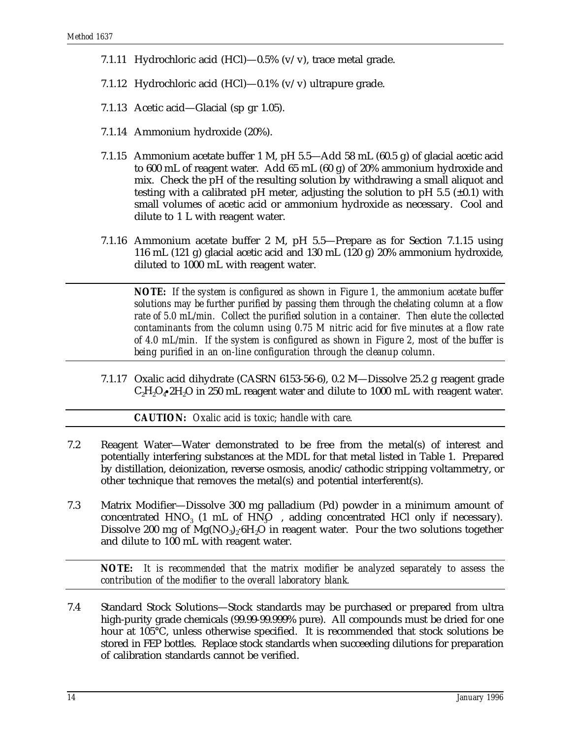- 7.1.11 Hydrochloric acid  $(HCl)$ —0.5%  $(v/v)$ , trace metal grade.
- 7.1.12 Hydrochloric acid  $(HCl)$ —0.1%  $(v/v)$  ultrapure grade.
- 7.1.13 Acetic acid—Glacial (sp gr 1.05).
- 7.1.14 Ammonium hydroxide (20%).
- 7.1.15 Ammonium acetate buffer 1 M, pH 5.5—Add 58 mL (60.5 g) of glacial acetic acid to 600 mL of reagent water. Add 65 mL (60 g) of 20% ammonium hydroxide and mix. Check the pH of the resulting solution by withdrawing a small aliquot and testing with a calibrated pH meter, adjusting the solution to pH 5.5 ( $\pm$ 0.1) with small volumes of acetic acid or ammonium hydroxide as necessary. Cool and dilute to 1 L with reagent water.
- 7.1.16 Ammonium acetate buffer 2 M, pH 5.5—Prepare as for Section 7.1.15 using 116 mL (121 g) glacial acetic acid and 130 mL (120 g) 20% ammonium hydroxide, diluted to 1000 mL with reagent water.

*NOTE: If the system is configured as shown in Figure 1, the ammonium acetate buffer solutions may be further purified by passing them through the chelating column at a flow rate of 5.0 mL/min. Collect the purified solution in a container. Then elute the collected contaminants from the column using 0.75 M nitric acid for five minutes at a flow rate of 4.0 mL/min. If the system is configured as shown in Figure 2, most of the buffer is being purified in an on-line configuration through the cleanup column.* 

7.1.17 Oxalic acid dihydrate (CASRN 6153-56-6), 0.2 M—Dissolve 25.2 g reagent grade  $C_2H_2O_4$  and  $250$  mL reagent water and dilute to 1000 mL with reagent water.

*CAUTION: Oxalic acid is toxic; handle with care.*

- 7.2 Reagent Water—Water demonstrated to be free from the metal(s) of interest and potentially interfering substances at the MDL for that metal listed in Table 1. Prepared by distillation, deionization, reverse osmosis, anodic/cathodic stripping voltammetry, or other technique that removes the metal(s) and potential interferent(s).
- 7.3 Matrix Modifier—Dissolve 300 mg palladium (Pd) powder in a minimum amount of concentrated  $HNO<sub>3</sub>$  (1 mL of  $HNO<sub>3</sub>$  , adding concentrated HCl only if necessary). Dissolve 200 mg of  $Mg(NO_3)$ . 6H, O in reagent water. Pour the two solutions together and dilute to 100 mL with reagent water.

*NOTE: It is recommended that the matrix modifier be analyzed separately to assess the contribution of the modifier to the overall laboratory blank.*

7.4 Standard Stock Solutions—Stock standards may be purchased or prepared from ultra high-purity grade chemicals (99.99-99.999% pure). All compounds must be dried for one hour at 105°C, unless otherwise specified. It is recommended that stock solutions be stored in FEP bottles. Replace stock standards when succeeding dilutions for preparation of calibration standards cannot be verified.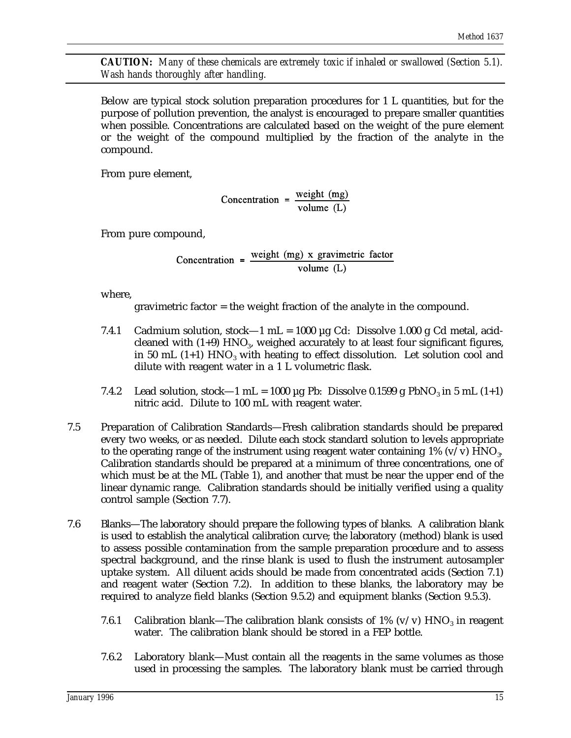*CAUTION: Many of these chemicals are extremely toxic if inhaled or swallowed (Section 5.1). Wash hands thoroughly after handling.*

Below are typical stock solution preparation procedures for 1 L quantities, but for the purpose of pollution prevention, the analyst is encouraged to prepare smaller quantities when possible. Concentrations are calculated based on the weight of the pure element or the weight of the compound multiplied by the fraction of the analyte in the compound.

From pure element,

Concentration =  $\frac{\text{weight (mg)}}{\text{volume (L)}}$ 

From pure compound,

Concentration =  $\frac{\text{weight (mg)} \times \text{gravimetric factor}}{1 - \frac{\text{time}}{1 - \text{max}}$ volume  $(L)$ 

where,

gravimetric factor = the weight fraction of the analyte in the compound.

- 7.4.1 Cadmium solution, stock—1 mL = 1000  $\mu$ g Cd: Dissolve 1.000 g Cd metal, acidcleaned with  $(1+9)$  HNO<sub>3</sub>, weighed accurately to at least four significant figures, in 50 mL (1+1)  $HNO<sub>3</sub>$  with heating to effect dissolution. Let solution cool and dilute with reagent water in a 1 L volumetric flask.
- 7.4.2 Lead solution, stock—1 mL = 1000 µg Pb: Dissolve 0.1599 g PbNO<sub>3</sub> in 5 mL (1+1) nitric acid. Dilute to 100 mL with reagent water.
- 7.5 Preparation of Calibration Standards—Fresh calibration standards should be prepared every two weeks, or as needed. Dilute each stock standard solution to levels appropriate to the operating range of the instrument using reagent water containing  $1\%$  (v/v) HNO. Calibration standards should be prepared at a minimum of three concentrations, one of which must be at the ML (Table 1), and another that must be near the upper end of the linear dynamic range. Calibration standards should be initially verified using a quality control sample (Section 7.7).
- 7.6 Blanks—The laboratory should prepare the following types of blanks. A calibration blank is used to establish the analytical calibration curve; the laboratory (method) blank is used to assess possible contamination from the sample preparation procedure and to assess spectral background, and the rinse blank is used to flush the instrument autosampler uptake system. All diluent acids should be made from concentrated acids (Section 7.1) and reagent water (Section 7.2). In addition to these blanks, the laboratory may be required to analyze field blanks (Section 9.5.2) and equipment blanks (Section 9.5.3).
	- 7.6.1 Calibration blank—The calibration blank consists of 1% (v/v) HNO<sub>3</sub> in reagent water. The calibration blank should be stored in a FEP bottle.
	- 7.6.2 Laboratory blank—Must contain all the reagents in the same volumes as those used in processing the samples. The laboratory blank must be carried through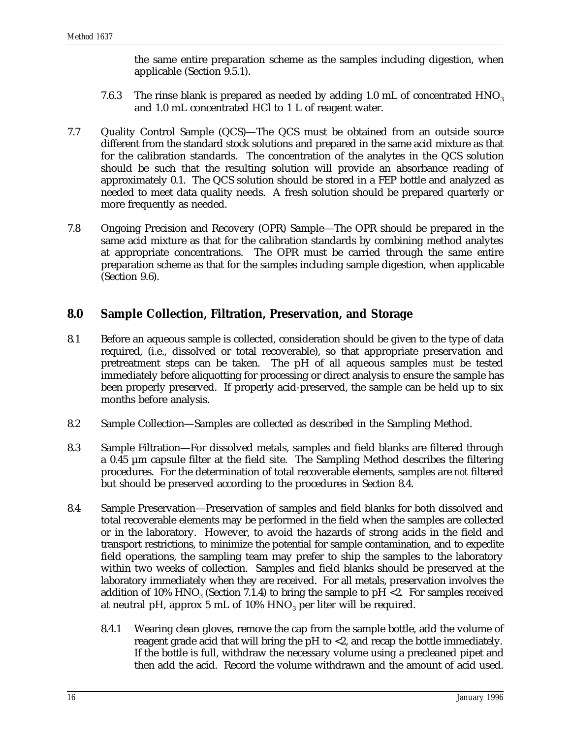the same entire preparation scheme as the samples including digestion, when applicable (Section 9.5.1).

- 7.6.3 The rinse blank is prepared as needed by adding 1.0 mL of concentrated  $HNO<sub>3</sub>$ and 1.0 mL concentrated HCl to 1 L of reagent water.
- 7.7 Quality Control Sample (QCS)—The QCS must be obtained from an outside source different from the standard stock solutions and prepared in the same acid mixture as that for the calibration standards. The concentration of the analytes in the QCS solution should be such that the resulting solution will provide an absorbance reading of approximately 0.1. The QCS solution should be stored in a FEP bottle and analyzed as needed to meet data quality needs. A fresh solution should be prepared quarterly or more frequently as needed.
- 7.8 Ongoing Precision and Recovery (OPR) Sample—The OPR should be prepared in the same acid mixture as that for the calibration standards by combining method analytes at appropriate concentrations. The OPR must be carried through the same entire preparation scheme as that for the samples including sample digestion, when applicable (Section 9.6).

# **8.0 Sample Collection, Filtration, Preservation, and Storage**

- 8.1 Before an aqueous sample is collected, consideration should be given to the type of data required, (i.e., dissolved or total recoverable), so that appropriate preservation and pretreatment steps can be taken. The pH of all aqueous samples *must* be tested immediately before aliquotting for processing or direct analysis to ensure the sample has been properly preserved. If properly acid-preserved, the sample can be held up to six months before analysis.
- 8.2 Sample Collection—Samples are collected as described in the Sampling Method.
- 8.3 Sample Filtration—For dissolved metals, samples and field blanks are filtered through a 0.45 µm capsule filter at the field site. The Sampling Method describes the filtering procedures. For the determination of total recoverable elements, samples are *not* filtered but should be preserved according to the procedures in Section 8.4.
- 8.4 Sample Preservation—Preservation of samples and field blanks for both dissolved and total recoverable elements may be performed in the field when the samples are collected or in the laboratory. However, to avoid the hazards of strong acids in the field and transport restrictions, to minimize the potential for sample contamination, and to expedite field operations, the sampling team may prefer to ship the samples to the laboratory within two weeks of collection. Samples and field blanks should be preserved at the laboratory immediately when they are received. For all metals, preservation involves the addition of  $10\%$  HNO<sub>3</sub> (Section 7.1.4) to bring the sample to pH <2. For samples received at neutral pH, approx 5 mL of  $10\%$  HNO<sub>3</sub> per liter will be required.
	- 8.4.1 Wearing clean gloves, remove the cap from the sample bottle, add the volume of reagent grade acid that will bring the pH to <2, and recap the bottle immediately. If the bottle is full, withdraw the necessary volume using a precleaned pipet and then add the acid. Record the volume withdrawn and the amount of acid used.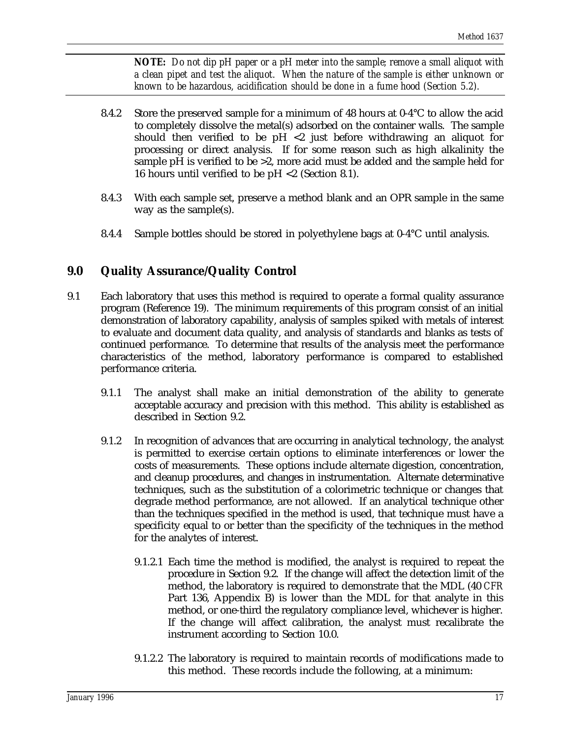*NOTE: Do not dip pH paper or a pH meter into the sample; remove a small aliquot with a clean pipet and test the aliquot. When the nature of the sample is either unknown or known to be hazardous, acidification should be done in a fume hood (Section 5.2).*

- 8.4.2 Store the preserved sample for a minimum of 48 hours at  $0.4^{\circ}$ C to allow the acid to completely dissolve the metal(s) adsorbed on the container walls. The sample should then verified to be  $pH < 2$  just before withdrawing an aliquot for processing or direct analysis. If for some reason such as high alkalinity the sample pH is verified to be >2, more acid must be added and the sample held for 16 hours until verified to be pH <2 (Section 8.1).
- 8.4.3 With each sample set, preserve a method blank and an OPR sample in the same way as the sample(s).
- 8.4.4 Sample bottles should be stored in polyethylene bags at 0-4°C until analysis.

# **9.0 Quality Assurance/Quality Control**

- 9.1 Each laboratory that uses this method is required to operate a formal quality assurance program (Reference 19). The minimum requirements of this program consist of an initial demonstration of laboratory capability, analysis of samples spiked with metals of interest to evaluate and document data quality, and analysis of standards and blanks as tests of continued performance. To determine that results of the analysis meet the performance characteristics of the method, laboratory performance is compared to established performance criteria.
	- 9.1.1 The analyst shall make an initial demonstration of the ability to generate acceptable accuracy and precision with this method. This ability is established as described in Section 9.2.
	- 9.1.2 In recognition of advances that are occurring in analytical technology, the analyst is permitted to exercise certain options to eliminate interferences or lower the costs of measurements. These options include alternate digestion, concentration, and cleanup procedures, and changes in instrumentation. Alternate determinative techniques, such as the substitution of a colorimetric technique or changes that degrade method performance, are not allowed. If an analytical technique other than the techniques specified in the method is used, that technique must have a specificity equal to or better than the specificity of the techniques in the method for the analytes of interest.
		- 9.1.2.1 Each time the method is modified, the analyst is required to repeat the procedure in Section 9.2. If the change will affect the detection limit of the method, the laboratory is required to demonstrate that the MDL (40 *CFR* Part 136, Appendix B) is lower than the MDL for that analyte in this method, or one-third the regulatory compliance level, whichever is higher. If the change will affect calibration, the analyst must recalibrate the instrument according to Section 10.0.
		- 9.1.2.2 The laboratory is required to maintain records of modifications made to this method. These records include the following, at a minimum: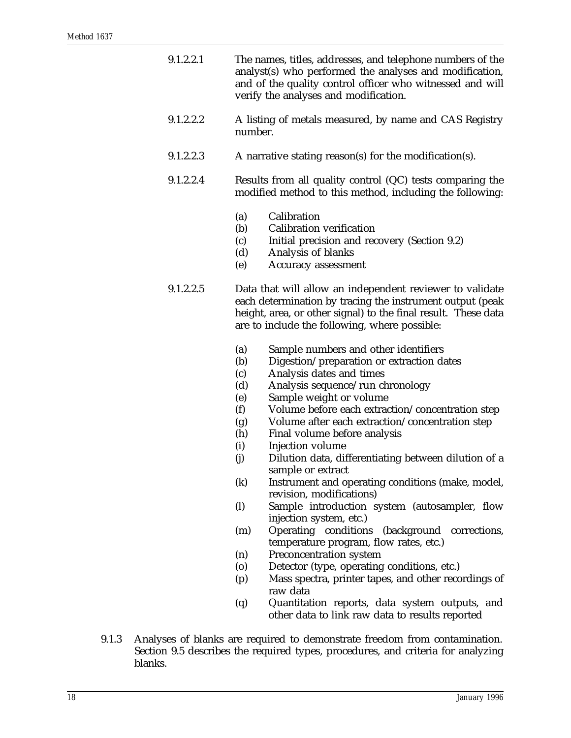- 9.1.2.2.1 The names, titles, addresses, and telephone numbers of the analyst(s) who performed the analyses and modification, and of the quality control officer who witnessed and will verify the analyses and modification.
- 9.1.2.2.2 A listing of metals measured, by name and CAS Registry number.
- 9.1.2.2.3 A narrative stating reason(s) for the modification(s).
- 9.1.2.2.4 Results from all quality control (QC) tests comparing the modified method to this method, including the following:
	- (a) Calibration
	- (b) Calibration verification
	- (c) Initial precision and recovery (Section 9.2)
	- (d) Analysis of blanks
	- (e) Accuracy assessment
- 9.1.2.2.5 Data that will allow an independent reviewer to validate each determination by tracing the instrument output (peak height, area, or other signal) to the final result. These data are to include the following, where possible:
	- (a) Sample numbers and other identifiers
	- (b) Digestion/preparation or extraction dates
	- (c) Analysis dates and times
	- (d) Analysis sequence/run chronology
	- (e) Sample weight or volume<br>(f) Volume before each extract
	- Volume before each extraction/concentration step
	- (g) Volume after each extraction/concentration step
	- (h) Final volume before analysis
	- (i) Injection volume
	- (j) Dilution data, differentiating between dilution of a sample or extract
	- (k) Instrument and operating conditions (make, model, revision, modifications)
	- (l) Sample introduction system (autosampler, flow injection system, etc.)
	- (m) Operating conditions (background corrections, temperature program, flow rates, etc.)
	- (n) Preconcentration system
	- (o) Detector (type, operating conditions, etc.)
	- (p) Mass spectra, printer tapes, and other recordings of raw data
	- (q) Quantitation reports, data system outputs, and other data to link raw data to results reported
- 9.1.3 Analyses of blanks are required to demonstrate freedom from contamination. Section 9.5 describes the required types, procedures, and criteria for analyzing blanks.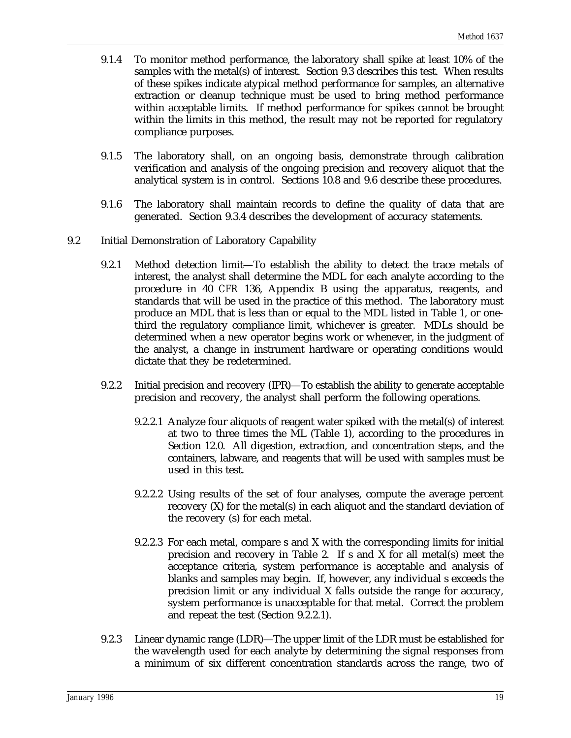- 9.1.4 To monitor method performance, the laboratory shall spike at least 10% of the samples with the metal(s) of interest. Section 9.3 describes this test. When results of these spikes indicate atypical method performance for samples, an alternative extraction or cleanup technique must be used to bring method performance within acceptable limits. If method performance for spikes cannot be brought within the limits in this method, the result may not be reported for regulatory compliance purposes.
- 9.1.5 The laboratory shall, on an ongoing basis, demonstrate through calibration verification and analysis of the ongoing precision and recovery aliquot that the analytical system is in control. Sections 10.8 and 9.6 describe these procedures.
- 9.1.6 The laboratory shall maintain records to define the quality of data that are generated. Section 9.3.4 describes the development of accuracy statements.
- 9.2 Initial Demonstration of Laboratory Capability
	- 9.2.1 Method detection limit—To establish the ability to detect the trace metals of interest, the analyst shall determine the MDL for each analyte according to the procedure in 40 *CFR* 136, Appendix B using the apparatus, reagents, and standards that will be used in the practice of this method. The laboratory must produce an MDL that is less than or equal to the MDL listed in Table 1, or onethird the regulatory compliance limit, whichever is greater. MDLs should be determined when a new operator begins work or whenever, in the judgment of the analyst, a change in instrument hardware or operating conditions would dictate that they be redetermined.
	- 9.2.2 Initial precision and recovery (IPR)—To establish the ability to generate acceptable precision and recovery, the analyst shall perform the following operations.
		- 9.2.2.1 Analyze four aliquots of reagent water spiked with the metal(s) of interest at two to three times the ML (Table 1), according to the procedures in Section 12.0. All digestion, extraction, and concentration steps, and the containers, labware, and reagents that will be used with samples must be used in this test.
		- 9.2.2.2 Using results of the set of four analyses, compute the average percent recovery (X) for the metal(s) in each aliquot and the standard deviation of the recovery (s) for each metal.
		- 9.2.2.3 For each metal, compare s and X with the corresponding limits for initial precision and recovery in Table 2. If s and X for all metal(s) meet the acceptance criteria, system performance is acceptable and analysis of blanks and samples may begin. If, however, any individual s exceeds the precision limit or any individual X falls outside the range for accuracy, system performance is unacceptable for that metal. Correct the problem and repeat the test (Section 9.2.2.1).
	- 9.2.3 Linear dynamic range (LDR)—The upper limit of the LDR must be established for the wavelength used for each analyte by determining the signal responses from a minimum of six different concentration standards across the range, two of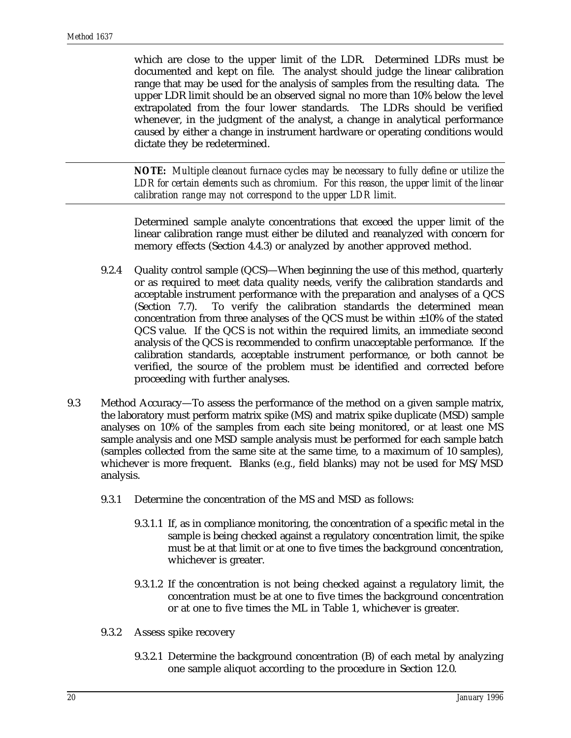which are close to the upper limit of the LDR. Determined LDRs must be documented and kept on file. The analyst should judge the linear calibration range that may be used for the analysis of samples from the resulting data. The upper LDR limit should be an observed signal no more than 10% below the level extrapolated from the four lower standards. The LDRs should be verified whenever, in the judgment of the analyst, a change in analytical performance caused by either a change in instrument hardware or operating conditions would dictate they be redetermined.

*NOTE: Multiple cleanout furnace cycles may be necessary to fully define or utilize the LDR for certain elements such as chromium. For this reason, the upper limit of the linear calibration range may not correspond to the upper LDR limit.*

Determined sample analyte concentrations that exceed the upper limit of the linear calibration range must either be diluted and reanalyzed with concern for memory effects (Section 4.4.3) or analyzed by another approved method.

- 9.2.4 Quality control sample (QCS)—When beginning the use of this method, quarterly or as required to meet data quality needs, verify the calibration standards and acceptable instrument performance with the preparation and analyses of a QCS (Section 7.7). To verify the calibration standards the determined mean concentration from three analyses of the QCS must be within ±10% of the stated QCS value. If the QCS is not within the required limits, an immediate second analysis of the QCS is recommended to confirm unacceptable performance. If the calibration standards, acceptable instrument performance, or both cannot be verified, the source of the problem must be identified and corrected before proceeding with further analyses.
- 9.3 Method Accuracy—To assess the performance of the method on a given sample matrix, the laboratory must perform matrix spike (MS) and matrix spike duplicate (MSD) sample analyses on 10% of the samples from each site being monitored, or at least one MS sample analysis and one MSD sample analysis must be performed for each sample batch (samples collected from the same site at the same time, to a maximum of 10 samples), whichever is more frequent. Blanks (e.g., field blanks) may not be used for MS/MSD analysis.
	- 9.3.1 Determine the concentration of the MS and MSD as follows:
		- 9.3.1.1 If, as in compliance monitoring, the concentration of a specific metal in the sample is being checked against a regulatory concentration limit, the spike must be at that limit or at one to five times the background concentration, whichever is greater.
		- 9.3.1.2 If the concentration is not being checked against a regulatory limit, the concentration must be at one to five times the background concentration or at one to five times the ML in Table 1, whichever is greater.
	- 9.3.2 Assess spike recovery
		- 9.3.2.1 Determine the background concentration (B) of each metal by analyzing one sample aliquot according to the procedure in Section 12.0.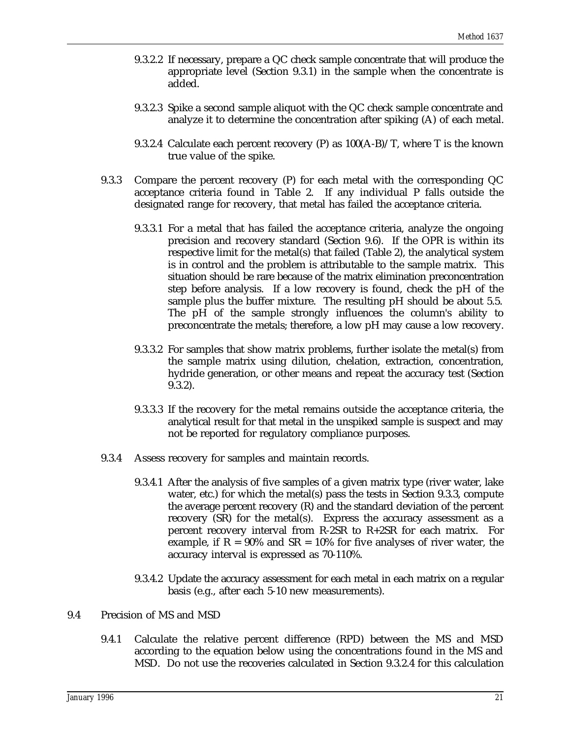- 9.3.2.2 If necessary, prepare a QC check sample concentrate that will produce the appropriate level (Section 9.3.1) in the sample when the concentrate is added.
- 9.3.2.3 Spike a second sample aliquot with the QC check sample concentrate and analyze it to determine the concentration after spiking (A) of each metal.
- 9.3.2.4 Calculate each percent recovery  $(P)$  as  $100(A-B)/T$ , where T is the known true value of the spike.
- 9.3.3 Compare the percent recovery (P) for each metal with the corresponding QC acceptance criteria found in Table 2. If any individual P falls outside the designated range for recovery, that metal has failed the acceptance criteria.
	- 9.3.3.1 For a metal that has failed the acceptance criteria, analyze the ongoing precision and recovery standard (Section 9.6). If the OPR is within its respective limit for the metal(s) that failed (Table 2), the analytical system is in control and the problem is attributable to the sample matrix. This situation should be rare because of the matrix elimination preconcentration step before analysis. If a low recovery is found, check the pH of the sample plus the buffer mixture. The resulting pH should be about 5.5. The pH of the sample strongly influences the column's ability to preconcentrate the metals; therefore, a low pH may cause a low recovery.
	- 9.3.3.2 For samples that show matrix problems, further isolate the metal(s) from the sample matrix using dilution, chelation, extraction, concentration, hydride generation, or other means and repeat the accuracy test (Section 9.3.2).
	- 9.3.3.3 If the recovery for the metal remains outside the acceptance criteria, the analytical result for that metal in the unspiked sample is suspect and may not be reported for regulatory compliance purposes.
- 9.3.4 Assess recovery for samples and maintain records.
	- 9.3.4.1 After the analysis of five samples of a given matrix type (river water, lake water, etc.) for which the metal(s) pass the tests in Section 9.3.3, compute the average percent recovery (R) and the standard deviation of the percent recovery (SR) for the metal(s). Express the accuracy assessment as a percent recovery interval from R-2SR to R+2SR for each matrix. For example, if  $R = 90\%$  and  $SR = 10\%$  for five analyses of river water, the accuracy interval is expressed as 70-110%.
	- 9.3.4.2 Update the accuracy assessment for each metal in each matrix on a regular basis (e.g., after each 5-10 new measurements).
- 9.4 Precision of MS and MSD
	- 9.4.1 Calculate the relative percent difference (RPD) between the MS and MSD according to the equation below using the concentrations found in the MS and MSD. Do not use the recoveries calculated in Section 9.3.2.4 for this calculation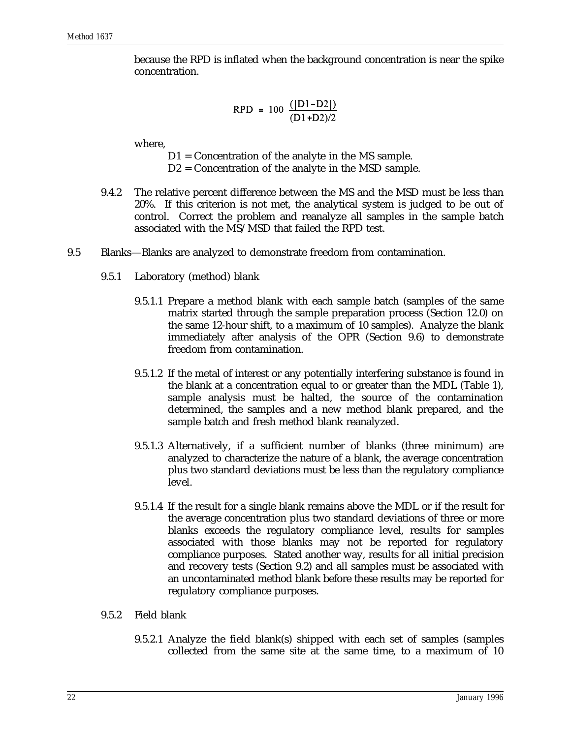because the RPD is inflated when the background concentration is near the spike concentration.

$$
RPD = 100 \frac{(|D1-D2|)}{(D1+D2)/2}
$$

where,

- D1 = Concentration of the analyte in the MS sample.
- D2 = Concentration of the analyte in the MSD sample.
- 9.4.2 The relative percent difference between the MS and the MSD must be less than 20%. If this criterion is not met, the analytical system is judged to be out of control. Correct the problem and reanalyze all samples in the sample batch associated with the MS/MSD that failed the RPD test.
- 9.5 Blanks—Blanks are analyzed to demonstrate freedom from contamination.
	- 9.5.1 Laboratory (method) blank
		- 9.5.1.1 Prepare a method blank with each sample batch (samples of the same matrix started through the sample preparation process (Section 12.0) on the same 12-hour shift, to a maximum of 10 samples). Analyze the blank immediately after analysis of the OPR (Section 9.6) to demonstrate freedom from contamination.
		- 9.5.1.2 If the metal of interest or any potentially interfering substance is found in the blank at a concentration equal to or greater than the MDL (Table 1), sample analysis must be halted, the source of the contamination determined, the samples and a new method blank prepared, and the sample batch and fresh method blank reanalyzed.
		- 9.5.1.3 Alternatively, if a sufficient number of blanks (three minimum) are analyzed to characterize the nature of a blank, the average concentration plus two standard deviations must be less than the regulatory compliance level.
		- 9.5.1.4 If the result for a single blank remains above the MDL or if the result for the average concentration plus two standard deviations of three or more blanks exceeds the regulatory compliance level, results for samples associated with those blanks may not be reported for regulatory compliance purposes. Stated another way, results for all initial precision and recovery tests (Section 9.2) and all samples must be associated with an uncontaminated method blank before these results may be reported for regulatory compliance purposes.
	- 9.5.2 Field blank
		- 9.5.2.1 Analyze the field blank(s) shipped with each set of samples (samples collected from the same site at the same time, to a maximum of 10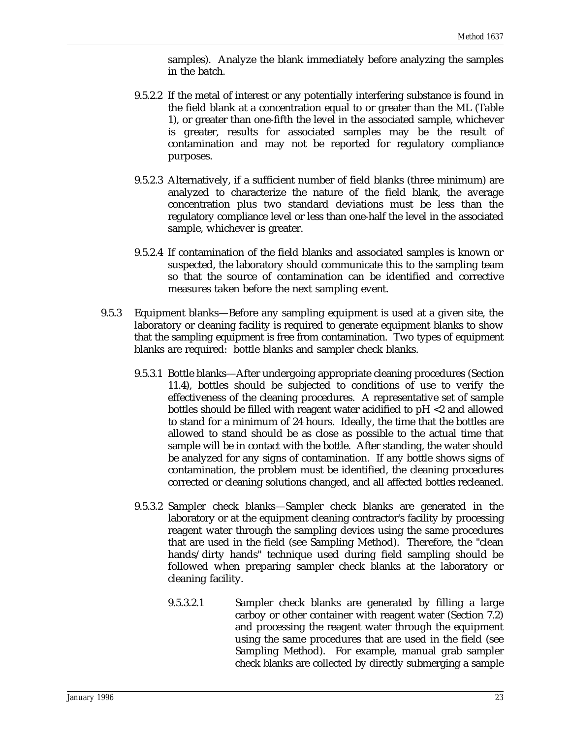samples). Analyze the blank immediately before analyzing the samples in the batch.

- 9.5.2.2 If the metal of interest or any potentially interfering substance is found in the field blank at a concentration equal to or greater than the ML (Table 1), or greater than one-fifth the level in the associated sample, whichever is greater, results for associated samples may be the result of contamination and may not be reported for regulatory compliance purposes.
- 9.5.2.3 Alternatively, if a sufficient number of field blanks (three minimum) are analyzed to characterize the nature of the field blank, the average concentration plus two standard deviations must be less than the regulatory compliance level or less than one-half the level in the associated sample, whichever is greater.
- 9.5.2.4 If contamination of the field blanks and associated samples is known or suspected, the laboratory should communicate this to the sampling team so that the source of contamination can be identified and corrective measures taken before the next sampling event.
- 9.5.3 Equipment blanks—Before any sampling equipment is used at a given site, the laboratory or cleaning facility is required to generate equipment blanks to show that the sampling equipment is free from contamination. Two types of equipment blanks are required: bottle blanks and sampler check blanks.
	- 9.5.3.1 Bottle blanks—After undergoing appropriate cleaning procedures (Section 11.4), bottles should be subjected to conditions of use to verify the effectiveness of the cleaning procedures. A representative set of sample bottles should be filled with reagent water acidified to pH <2 and allowed to stand for a minimum of 24 hours. Ideally, the time that the bottles are allowed to stand should be as close as possible to the actual time that sample will be in contact with the bottle. After standing, the water should be analyzed for any signs of contamination. If any bottle shows signs of contamination, the problem must be identified, the cleaning procedures corrected or cleaning solutions changed, and all affected bottles recleaned.
	- 9.5.3.2 Sampler check blanks—Sampler check blanks are generated in the laboratory or at the equipment cleaning contractor's facility by processing reagent water through the sampling devices using the same procedures that are used in the field (see Sampling Method). Therefore, the "clean hands/dirty hands" technique used during field sampling should be followed when preparing sampler check blanks at the laboratory or cleaning facility.
		- 9.5.3.2.1 Sampler check blanks are generated by filling a large carboy or other container with reagent water (Section 7.2) and processing the reagent water through the equipment using the same procedures that are used in the field (see Sampling Method). For example, manual grab sampler check blanks are collected by directly submerging a sample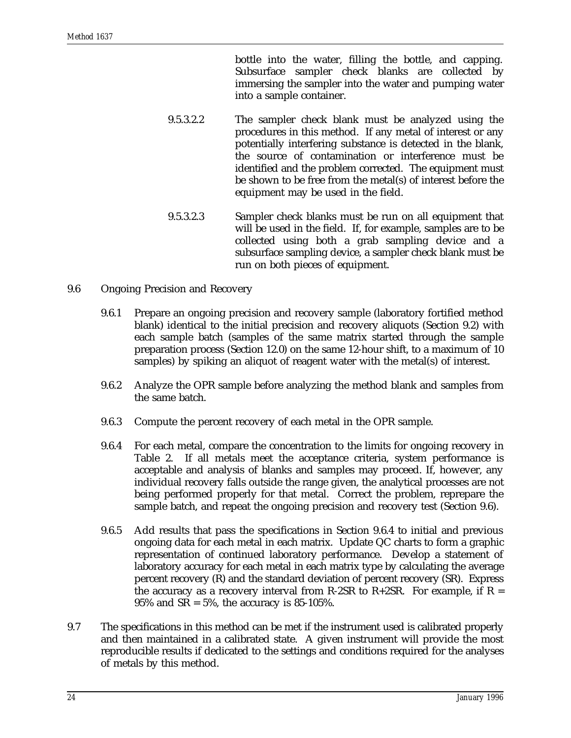bottle into the water, filling the bottle, and capping. Subsurface sampler check blanks are collected by immersing the sampler into the water and pumping water into a sample container.

- 9.5.3.2.2 The sampler check blank must be analyzed using the procedures in this method. If any metal of interest or any potentially interfering substance is detected in the blank, the source of contamination or interference must be identified and the problem corrected. The equipment must be shown to be free from the metal(s) of interest before the equipment may be used in the field.
- 9.5.3.2.3 Sampler check blanks must be run on all equipment that will be used in the field. If, for example, samples are to be collected using both a grab sampling device and a subsurface sampling device, a sampler check blank must be run on both pieces of equipment.
- 9.6 Ongoing Precision and Recovery
	- 9.6.1 Prepare an ongoing precision and recovery sample (laboratory fortified method blank) identical to the initial precision and recovery aliquots (Section 9.2) with each sample batch (samples of the same matrix started through the sample preparation process (Section 12.0) on the same 12-hour shift, to a maximum of 10 samples) by spiking an aliquot of reagent water with the metal(s) of interest.
	- 9.6.2 Analyze the OPR sample before analyzing the method blank and samples from the same batch.
	- 9.6.3 Compute the percent recovery of each metal in the OPR sample.
	- 9.6.4 For each metal, compare the concentration to the limits for ongoing recovery in Table 2. If all metals meet the acceptance criteria, system performance is acceptable and analysis of blanks and samples may proceed. If, however, any individual recovery falls outside the range given, the analytical processes are not being performed properly for that metal. Correct the problem, reprepare the sample batch, and repeat the ongoing precision and recovery test (Section 9.6).
	- 9.6.5 Add results that pass the specifications in Section 9.6.4 to initial and previous ongoing data for each metal in each matrix. Update QC charts to form a graphic representation of continued laboratory performance. Develop a statement of laboratory accuracy for each metal in each matrix type by calculating the average percent recovery (R) and the standard deviation of percent recovery (SR). Express the accuracy as a recovery interval from R-2SR to  $R+2SR$ . For example, if  $R =$ 95% and SR = 5%, the accuracy is 85-105%.
- 9.7 The specifications in this method can be met if the instrument used is calibrated properly and then maintained in a calibrated state. A given instrument will provide the most reproducible results if dedicated to the settings and conditions required for the analyses of metals by this method.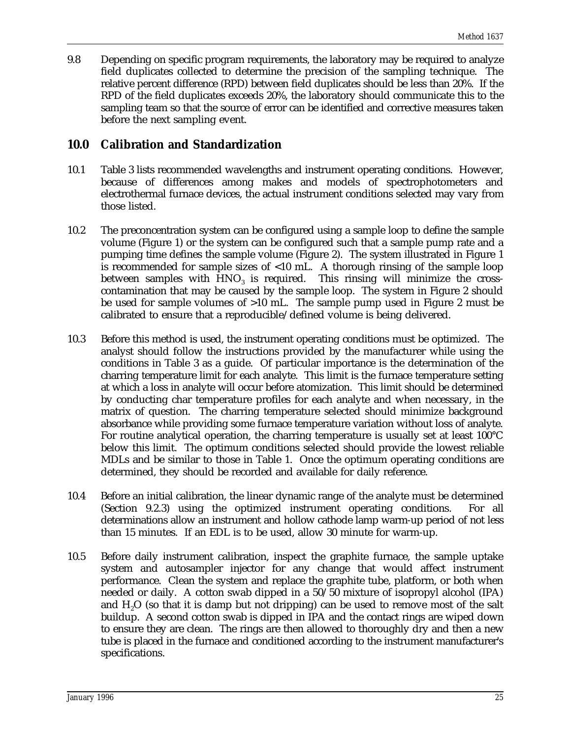9.8 Depending on specific program requirements, the laboratory may be required to analyze field duplicates collected to determine the precision of the sampling technique. The relative percent difference (RPD) between field duplicates should be less than 20%. If the RPD of the field duplicates exceeds 20%, the laboratory should communicate this to the sampling team so that the source of error can be identified and corrective measures taken before the next sampling event.

# **10.0 Calibration and Standardization**

- 10.1 Table 3 lists recommended wavelengths and instrument operating conditions. However, because of differences among makes and models of spectrophotometers and electrothermal furnace devices, the actual instrument conditions selected may vary from those listed.
- 10.2 The preconcentration system can be configured using a sample loop to define the sample volume (Figure 1) or the system can be configured such that a sample pump rate and a pumping time defines the sample volume (Figure 2). The system illustrated in Figure 1 is recommended for sample sizes of <10 mL. A thorough rinsing of the sample loop between samples with  $HNO<sub>3</sub>$  is required. This rinsing will minimize the crosscontamination that may be caused by the sample loop. The system in Figure 2 should be used for sample volumes of >10 mL. The sample pump used in Figure 2 must be calibrated to ensure that a reproducible/defined volume is being delivered.
- 10.3 Before this method is used, the instrument operating conditions must be optimized. The analyst should follow the instructions provided by the manufacturer while using the conditions in Table 3 as a guide. Of particular importance is the determination of the charring temperature limit for each analyte. This limit is the furnace temperature setting at which a loss in analyte will occur before atomization. This limit should be determined by conducting char temperature profiles for each analyte and when necessary, in the matrix of question. The charring temperature selected should minimize background absorbance while providing some furnace temperature variation without loss of analyte. For routine analytical operation, the charring temperature is usually set at least 100°C below this limit. The optimum conditions selected should provide the lowest reliable MDLs and be similar to those in Table 1. Once the optimum operating conditions are determined, they should be recorded and available for daily reference.
- 10.4 Before an initial calibration, the linear dynamic range of the analyte must be determined (Section 9.2.3) using the optimized instrument operating conditions. For all determinations allow an instrument and hollow cathode lamp warm-up period of not less than 15 minutes. If an EDL is to be used, allow 30 minute for warm-up.
- 10.5 Before daily instrument calibration, inspect the graphite furnace, the sample uptake system and autosampler injector for any change that would affect instrument performance. Clean the system and replace the graphite tube, platform, or both when needed or daily. A cotton swab dipped in a 50/50 mixture of isopropyl alcohol (IPA) and  $H<sub>2</sub>O$  (so that it is damp but not dripping) can be used to remove most of the salt buildup. A second cotton swab is dipped in IPA and the contact rings are wiped down to ensure they are clean. The rings are then allowed to thoroughly dry and then a new tube is placed in the furnace and conditioned according to the instrument manufacturer's specifications.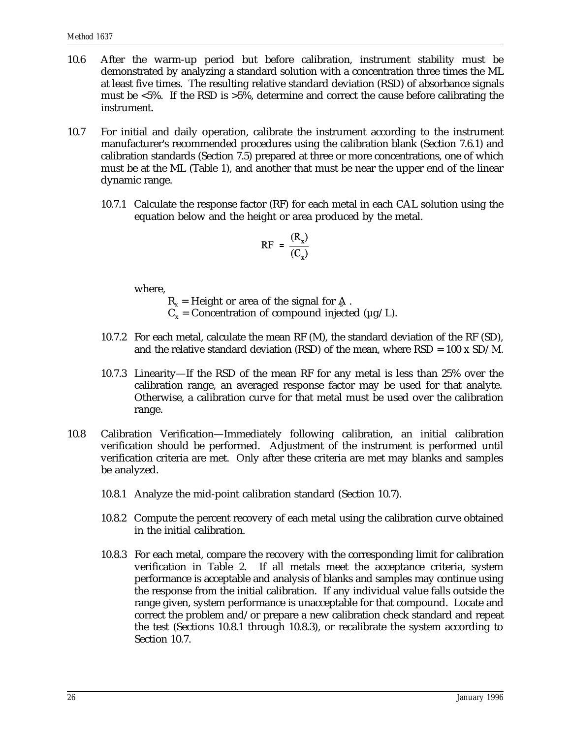- 10.6 After the warm-up period but before calibration, instrument stability must be demonstrated by analyzing a standard solution with a concentration three times the ML at least five times. The resulting relative standard deviation (RSD) of absorbance signals must be <5%. If the RSD is >5%, determine and correct the cause before calibrating the instrument.
- 10.7 For initial and daily operation, calibrate the instrument according to the instrument manufacturer's recommended procedures using the calibration blank (Section 7.6.1) and calibration standards (Section 7.5) prepared at three or more concentrations, one of which must be at the ML (Table 1), and another that must be near the upper end of the linear dynamic range.
	- 10.7.1 Calculate the response factor (RF) for each metal in each CAL solution using the equation below and the height or area produced by the metal.

$$
RF = \frac{(R_x)}{(C_x)}
$$

where,

 $R<sub>x</sub>$  = Height or area of the signal for A.  $C<sub>x</sub>$  = Concentration of compound injected ( $\mu$ g/L).

- 10.7.2 For each metal, calculate the mean RF (M), the standard deviation of the RF (SD), and the relative standard deviation (RSD) of the mean, where  $RSD = 100 \times SD/M$ .
- 10.7.3 Linearity—If the RSD of the mean RF for any metal is less than 25% over the calibration range, an averaged response factor may be used for that analyte. Otherwise, a calibration curve for that metal must be used over the calibration range.
- 10.8 Calibration Verification—Immediately following calibration, an initial calibration verification should be performed. Adjustment of the instrument is performed until verification criteria are met. Only after these criteria are met may blanks and samples be analyzed.
	- 10.8.1 Analyze the mid-point calibration standard (Section 10.7).
	- 10.8.2 Compute the percent recovery of each metal using the calibration curve obtained in the initial calibration.
	- 10.8.3 For each metal, compare the recovery with the corresponding limit for calibration verification in Table 2. If all metals meet the acceptance criteria, system performance is acceptable and analysis of blanks and samples may continue using the response from the initial calibration. If any individual value falls outside the range given, system performance is unacceptable for that compound. Locate and correct the problem and/or prepare a new calibration check standard and repeat the test (Sections 10.8.1 through 10.8.3), or recalibrate the system according to Section 10.7.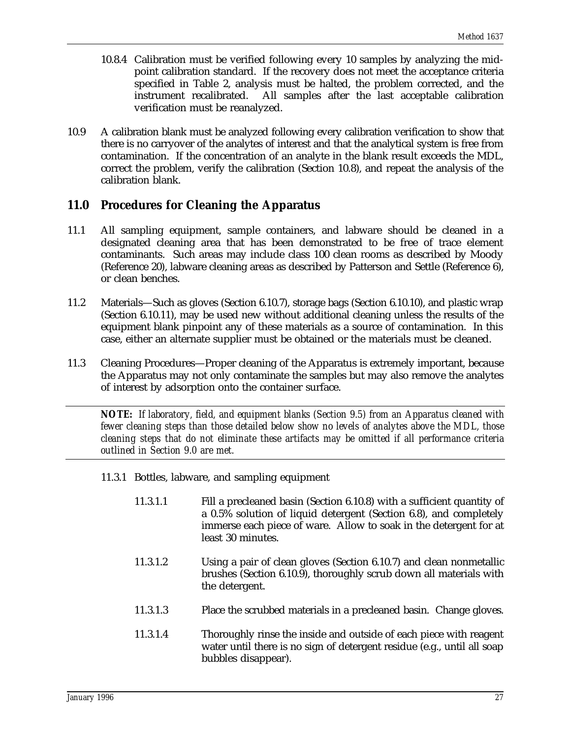- 10.8.4 Calibration must be verified following every 10 samples by analyzing the midpoint calibration standard. If the recovery does not meet the acceptance criteria specified in Table 2, analysis must be halted, the problem corrected, and the instrument recalibrated. All samples after the last acceptable calibration verification must be reanalyzed.
- 10.9 A calibration blank must be analyzed following every calibration verification to show that there is no carryover of the analytes of interest and that the analytical system is free from contamination. If the concentration of an analyte in the blank result exceeds the MDL, correct the problem, verify the calibration (Section 10.8), and repeat the analysis of the calibration blank.

### **11.0 Procedures for Cleaning the Apparatus**

- 11.1 All sampling equipment, sample containers, and labware should be cleaned in a designated cleaning area that has been demonstrated to be free of trace element contaminants. Such areas may include class 100 clean rooms as described by Moody (Reference 20), labware cleaning areas as described by Patterson and Settle (Reference 6), or clean benches.
- 11.2 Materials—Such as gloves (Section 6.10.7), storage bags (Section 6.10.10), and plastic wrap (Section 6.10.11), may be used new without additional cleaning unless the results of the equipment blank pinpoint any of these materials as a source of contamination. In this case, either an alternate supplier must be obtained or the materials must be cleaned.
- 11.3 Cleaning Procedures—Proper cleaning of the Apparatus is extremely important, because the Apparatus may not only contaminate the samples but may also remove the analytes of interest by adsorption onto the container surface.

*NOTE: If laboratory, field, and equipment blanks (Section 9.5) from an Apparatus cleaned with fewer cleaning steps than those detailed below show no levels of analytes above the MDL, those cleaning steps that do not eliminate these artifacts may be omitted if all performance criteria outlined in Section 9.0 are met.*

- 11.3.1 Bottles, labware, and sampling equipment
	- 11.3.1.1 Fill a precleaned basin (Section 6.10.8) with a sufficient quantity of a 0.5% solution of liquid detergent (Section 6.8), and completely immerse each piece of ware. Allow to soak in the detergent for at least 30 minutes.
	- 11.3.1.2 Using a pair of clean gloves (Section 6.10.7) and clean nonmetallic brushes (Section 6.10.9), thoroughly scrub down all materials with the detergent.
	- 11.3.1.3 Place the scrubbed materials in a precleaned basin. Change gloves.
	- 11.3.1.4 Thoroughly rinse the inside and outside of each piece with reagent water until there is no sign of detergent residue (e.g., until all soap bubbles disappear).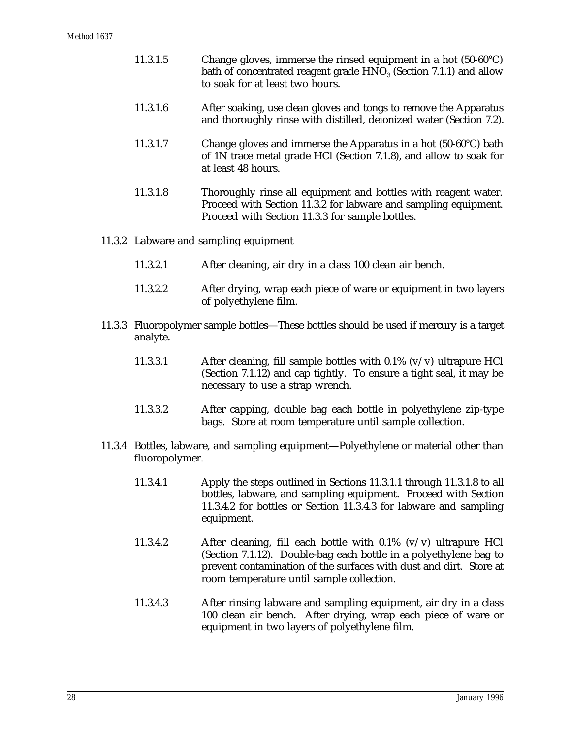| 11.3.1.5 | Change gloves, immerse the rinsed equipment in a hot $(50-60^{\circ}C)$<br>bath of concentrated reagent grade $HNO3$ (Section 7.1.1) and allow<br>to soak for at least two hours. |
|----------|-----------------------------------------------------------------------------------------------------------------------------------------------------------------------------------|
| 11.3.1.6 | After soaking, use clean gloves and tongs to remove the Apparatus<br>and thoroughly rinse with distilled, deionized water (Section 7.2).                                          |
| 11.3.1.7 | Change gloves and immerse the Apparatus in a hot (50-60°C) bath<br>of 1N trace metal grade HCl (Section 7.1.8), and allow to soak for<br>at least 48 hours.                       |
| 11.3.1.8 | Thoroughly rinse all equipment and bottles with reagent water.<br>Proceed with Section 11.3.2 for labware and sampling equipment.                                                 |

Proceed with Section 11.3.3 for sample bottles.

#### 11.3.2 Labware and sampling equipment

- 11.3.2.1 After cleaning, air dry in a class 100 clean air bench.
- 11.3.2.2 After drying, wrap each piece of ware or equipment in two layers of polyethylene film.
- 11.3.3 Fluoropolymer sample bottles—These bottles should be used if mercury is a target analyte.
	- 11.3.3.1 After cleaning, fill sample bottles with 0.1% (v/v) ultrapure HCl (Section 7.1.12) and cap tightly. To ensure a tight seal, it may be necessary to use a strap wrench.
	- 11.3.3.2 After capping, double bag each bottle in polyethylene zip-type bags. Store at room temperature until sample collection.
- 11.3.4 Bottles, labware, and sampling equipment—Polyethylene or material other than fluoropolymer.
	- 11.3.4.1 Apply the steps outlined in Sections 11.3.1.1 through 11.3.1.8 to all bottles, labware, and sampling equipment. Proceed with Section 11.3.4.2 for bottles or Section 11.3.4.3 for labware and sampling equipment.
	- 11.3.4.2 After cleaning, fill each bottle with 0.1% (v/v) ultrapure HCl (Section 7.1.12). Double-bag each bottle in a polyethylene bag to prevent contamination of the surfaces with dust and dirt. Store at room temperature until sample collection.
	- 11.3.4.3 After rinsing labware and sampling equipment, air dry in a class 100 clean air bench. After drying, wrap each piece of ware or equipment in two layers of polyethylene film.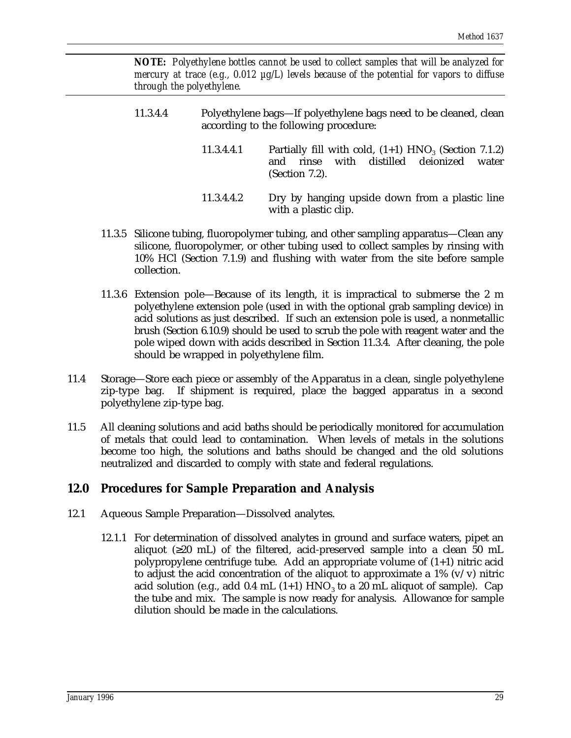*NOTE: Polyethylene bottles cannot be used to collect samples that will be analyzed for mercury at trace (e.g., 0.012 µg/L) levels because of the potential for vapors to diffuse through the polyethylene.*

- 11.3.4.4 Polyethylene bags—If polyethylene bags need to be cleaned, clean according to the following procedure:
	- 11.3.4.4.1 Partially fill with cold,  $(1+1)$  HNO<sub>3</sub> (Section 7.1.2)<br>and rinse with distilled deionized water and rinse (Section 7.2).
	- 11.3.4.4.2 Dry by hanging upside down from a plastic line with a plastic clip.
- 11.3.5 Silicone tubing, fluoropolymer tubing, and other sampling apparatus—Clean any silicone, fluoropolymer, or other tubing used to collect samples by rinsing with 10% HCl (Section 7.1.9) and flushing with water from the site before sample collection.
- 11.3.6 Extension pole—Because of its length, it is impractical to submerse the 2 m polyethylene extension pole (used in with the optional grab sampling device) in acid solutions as just described. If such an extension pole is used, a nonmetallic brush (Section 6.10.9) should be used to scrub the pole with reagent water and the pole wiped down with acids described in Section 11.3.4. After cleaning, the pole should be wrapped in polyethylene film.
- 11.4 Storage—Store each piece or assembly of the Apparatus in a clean, single polyethylene zip-type bag. If shipment is required, place the bagged apparatus in a second polyethylene zip-type bag.
- 11.5 All cleaning solutions and acid baths should be periodically monitored for accumulation of metals that could lead to contamination. When levels of metals in the solutions become too high, the solutions and baths should be changed and the old solutions neutralized and discarded to comply with state and federal regulations.

# **12.0 Procedures for Sample Preparation and Analysis**

- 12.1 Aqueous Sample Preparation—Dissolved analytes.
	- 12.1.1 For determination of dissolved analytes in ground and surface waters, pipet an aliquot ( $\geq 20$  mL) of the filtered, acid-preserved sample into a clean 50 mL polypropylene centrifuge tube. Add an appropriate volume of (1+1) nitric acid to adjust the acid concentration of the aliquot to approximate a  $1\%$  (v/v) nitric acid solution (e.g., add 0.4 mL (1+1)  $HNO<sub>3</sub>$  to a 20 mL aliquot of sample). Cap the tube and mix. The sample is now ready for analysis. Allowance for sample dilution should be made in the calculations.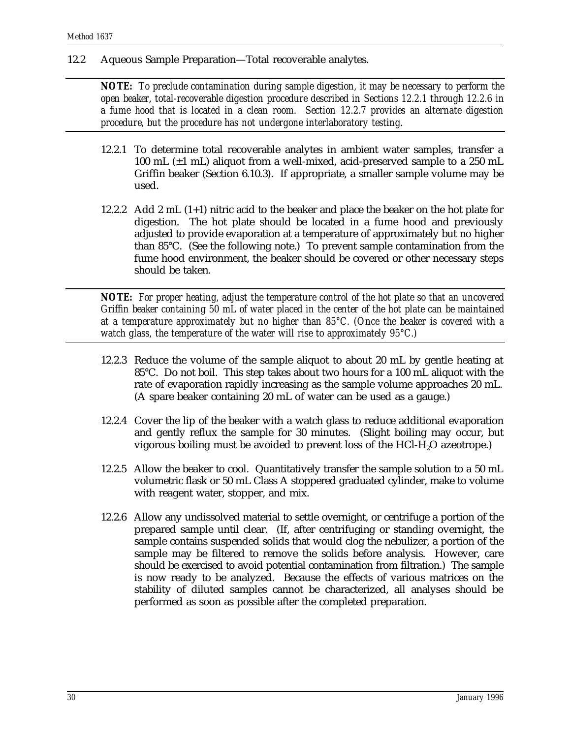12.2 Aqueous Sample Preparation—Total recoverable analytes.

*NOTE: To preclude contamination during sample digestion, it may be necessary to perform the open beaker, total-recoverable digestion procedure described in Sections 12.2.1 through 12.2.6 in a fume hood that is located in a clean room. Section 12.2.7 provides an alternate digestion procedure, but the procedure has not undergone interlaboratory testing.*

- 12.2.1 To determine total recoverable analytes in ambient water samples, transfer a 100 mL (±1 mL) aliquot from a well-mixed, acid-preserved sample to a 250 mL Griffin beaker (Section 6.10.3). If appropriate, a smaller sample volume may be used.
- 12.2.2 Add 2 mL (1+1) nitric acid to the beaker and place the beaker on the hot plate for digestion. The hot plate should be located in a fume hood and previously adjusted to provide evaporation at a temperature of approximately but no higher than 85°C. (See the following note.) To prevent sample contamination from the fume hood environment, the beaker should be covered or other necessary steps should be taken.

*NOTE: For proper heating, adjust the temperature control of the hot plate so that an uncovered Griffin beaker containing 50 mL of water placed in the center of the hot plate can be maintained at a temperature approximately but no higher than 85°C. (Once the beaker is covered with a watch glass, the temperature of the water will rise to approximately 95°C.)*

- 12.2.3 Reduce the volume of the sample aliquot to about 20 mL by gentle heating at 85°C. Do not boil. This step takes about two hours for a 100 mL aliquot with the rate of evaporation rapidly increasing as the sample volume approaches 20 mL. (A spare beaker containing 20 mL of water can be used as a gauge.)
- 12.2.4 Cover the lip of the beaker with a watch glass to reduce additional evaporation and gently reflux the sample for 30 minutes. (Slight boiling may occur, but vigorous boiling must be avoided to prevent loss of the  $HCl-H<sub>2</sub>O$  azeotrope.)
- 12.2.5 Allow the beaker to cool. Quantitatively transfer the sample solution to a 50 mL volumetric flask or 50 mL Class A stoppered graduated cylinder, make to volume with reagent water, stopper, and mix.
- 12.2.6 Allow any undissolved material to settle overnight, or centrifuge a portion of the prepared sample until clear. (If, after centrifuging or standing overnight, the sample contains suspended solids that would clog the nebulizer, a portion of the sample may be filtered to remove the solids before analysis. However, care should be exercised to avoid potential contamination from filtration.) The sample is now ready to be analyzed. Because the effects of various matrices on the stability of diluted samples cannot be characterized, all analyses should be performed as soon as possible after the completed preparation.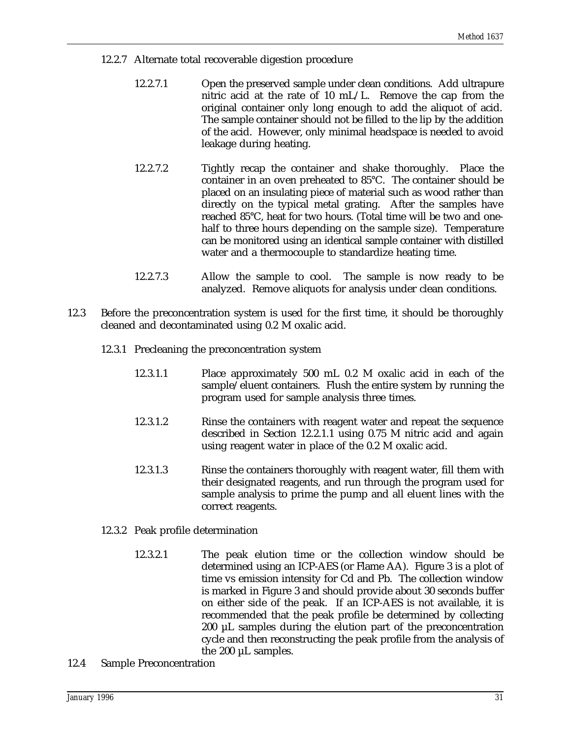- 12.2.7 Alternate total recoverable digestion procedure
	- 12.2.7.1 Open the preserved sample under clean conditions. Add ultrapure nitric acid at the rate of 10 mL/L. Remove the cap from the original container only long enough to add the aliquot of acid. The sample container should not be filled to the lip by the addition of the acid. However, only minimal headspace is needed to avoid leakage during heating.
	- 12.2.7.2 Tightly recap the container and shake thoroughly. Place the container in an oven preheated to 85°C. The container should be placed on an insulating piece of material such as wood rather than directly on the typical metal grating. After the samples have reached 85°C, heat for two hours. (Total time will be two and onehalf to three hours depending on the sample size). Temperature can be monitored using an identical sample container with distilled water and a thermocouple to standardize heating time.
	- 12.2.7.3 Allow the sample to cool. The sample is now ready to be analyzed. Remove aliquots for analysis under clean conditions.
- 12.3 Before the preconcentration system is used for the first time, it should be thoroughly cleaned and decontaminated using 0.2 M oxalic acid.
	- 12.3.1 Precleaning the preconcentration system
		- 12.3.1.1 Place approximately 500 mL 0.2 M oxalic acid in each of the sample/eluent containers. Flush the entire system by running the program used for sample analysis three times.
		- 12.3.1.2 Rinse the containers with reagent water and repeat the sequence described in Section 12.2.1.1 using 0.75 M nitric acid and again using reagent water in place of the 0.2 M oxalic acid.
		- 12.3.1.3 Rinse the containers thoroughly with reagent water, fill them with their designated reagents, and run through the program used for sample analysis to prime the pump and all eluent lines with the correct reagents.
	- 12.3.2 Peak profile determination
		- 12.3.2.1 The peak elution time or the collection window should be determined using an ICP-AES (or Flame AA). Figure 3 is a plot of time vs emission intensity for Cd and Pb. The collection window is marked in Figure 3 and should provide about 30 seconds buffer on either side of the peak. If an ICP-AES is not available, it is recommended that the peak profile be determined by collecting 200 µL samples during the elution part of the preconcentration cycle and then reconstructing the peak profile from the analysis of the 200 µL samples.
- 12.4 Sample Preconcentration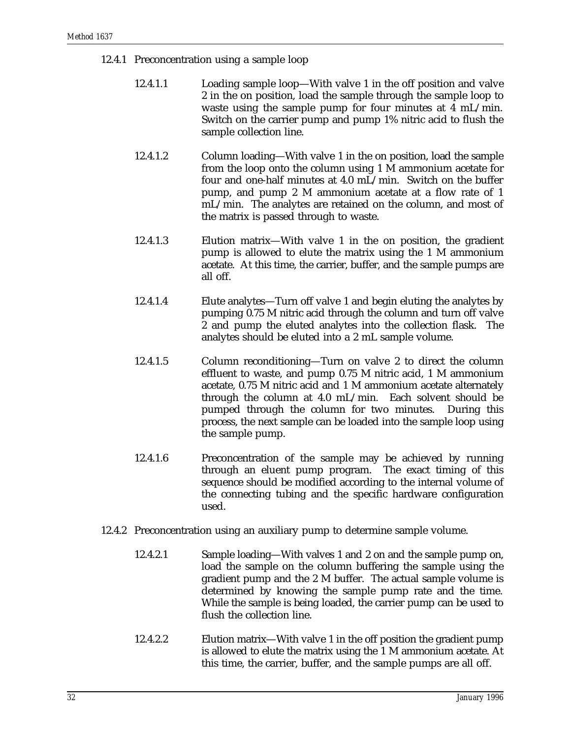- 12.4.1 Preconcentration using a sample loop
	- 12.4.1.1 Loading sample loop—With valve 1 in the off position and valve 2 in the on position, load the sample through the sample loop to waste using the sample pump for four minutes at 4 mL/min. Switch on the carrier pump and pump 1% nitric acid to flush the sample collection line.
	- 12.4.1.2 Column loading—With valve 1 in the on position, load the sample from the loop onto the column using 1 M ammonium acetate for four and one-half minutes at 4.0 mL/min. Switch on the buffer pump, and pump 2 M ammonium acetate at a flow rate of 1 mL/min. The analytes are retained on the column, and most of the matrix is passed through to waste.
	- 12.4.1.3 Elution matrix—With valve 1 in the on position, the gradient pump is allowed to elute the matrix using the 1 M ammonium acetate. At this time, the carrier, buffer, and the sample pumps are all off.
	- 12.4.1.4 Elute analytes—Turn off valve 1 and begin eluting the analytes by pumping 0.75 M nitric acid through the column and turn off valve 2 and pump the eluted analytes into the collection flask. The analytes should be eluted into a 2 mL sample volume.
	- 12.4.1.5 Column reconditioning—Turn on valve 2 to direct the column effluent to waste, and pump 0.75 M nitric acid, 1 M ammonium acetate, 0.75 M nitric acid and 1 M ammonium acetate alternately through the column at 4.0 mL/min. Each solvent should be pumped through the column for two minutes. During this process, the next sample can be loaded into the sample loop using the sample pump.
	- 12.4.1.6 Preconcentration of the sample may be achieved by running through an eluent pump program. The exact timing of this sequence should be modified according to the internal volume of the connecting tubing and the specific hardware configuration used.
- 12.4.2 Preconcentration using an auxiliary pump to determine sample volume.
	- 12.4.2.1 Sample loading—With valves 1 and 2 on and the sample pump on, load the sample on the column buffering the sample using the gradient pump and the 2 M buffer. The actual sample volume is determined by knowing the sample pump rate and the time. While the sample is being loaded, the carrier pump can be used to flush the collection line.
	- 12.4.2.2 Elution matrix—With valve 1 in the off position the gradient pump is allowed to elute the matrix using the 1 M ammonium acetate. At this time, the carrier, buffer, and the sample pumps are all off.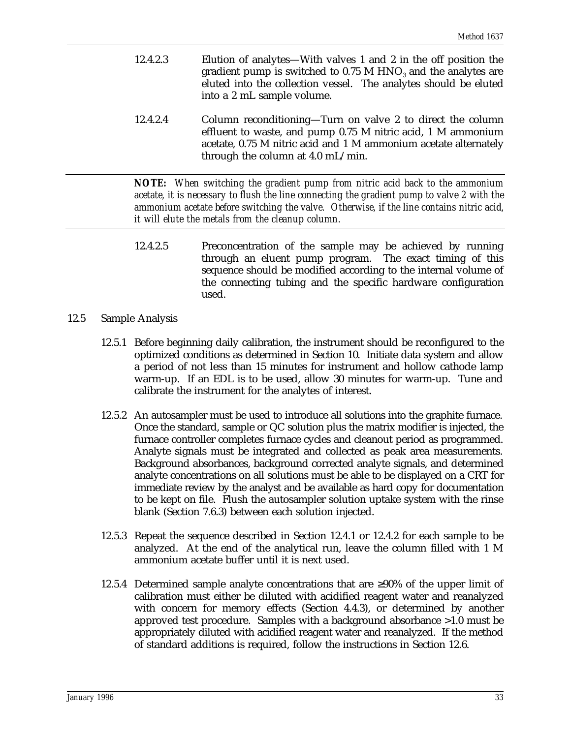- 12.4.2.3 Elution of analytes—With valves 1 and 2 in the off position the gradient pump is switched to  $0.75$  M HNO<sub>3</sub> and the analytes are eluted into the collection vessel. The analytes should be eluted into a 2 mL sample volume.
- 12.4.2.4 Column reconditioning—Turn on valve 2 to direct the column effluent to waste, and pump 0.75 M nitric acid, 1 M ammonium acetate, 0.75 M nitric acid and 1 M ammonium acetate alternately through the column at 4.0 mL/min.

*NOTE: When switching the gradient pump from nitric acid back to the ammonium acetate, it is necessary to flush the line connecting the gradient pump to valve 2 with the ammonium acetate before switching the valve. Otherwise, if the line contains nitric acid, it will elute the metals from the cleanup column.*

- 12.4.2.5 Preconcentration of the sample may be achieved by running through an eluent pump program. The exact timing of this sequence should be modified according to the internal volume of the connecting tubing and the specific hardware configuration used.
- 12.5 Sample Analysis
	- 12.5.1 Before beginning daily calibration, the instrument should be reconfigured to the optimized conditions as determined in Section 10. Initiate data system and allow a period of not less than 15 minutes for instrument and hollow cathode lamp warm-up. If an EDL is to be used, allow 30 minutes for warm-up. Tune and calibrate the instrument for the analytes of interest.
	- 12.5.2 An autosampler must be used to introduce all solutions into the graphite furnace. Once the standard, sample or QC solution plus the matrix modifier is injected, the furnace controller completes furnace cycles and cleanout period as programmed. Analyte signals must be integrated and collected as peak area measurements. Background absorbances, background corrected analyte signals, and determined analyte concentrations on all solutions must be able to be displayed on a CRT for immediate review by the analyst and be available as hard copy for documentation to be kept on file. Flush the autosampler solution uptake system with the rinse blank (Section 7.6.3) between each solution injected.
	- 12.5.3 Repeat the sequence described in Section 12.4.1 or 12.4.2 for each sample to be analyzed. At the end of the analytical run, leave the column filled with 1 M ammonium acetate buffer until it is next used.
	- 12.5.4 Determined sample analyte concentrations that are ≥90% of the upper limit of calibration must either be diluted with acidified reagent water and reanalyzed with concern for memory effects (Section 4.4.3), or determined by another approved test procedure. Samples with a background absorbance >1.0 must be appropriately diluted with acidified reagent water and reanalyzed. If the method of standard additions is required, follow the instructions in Section 12.6.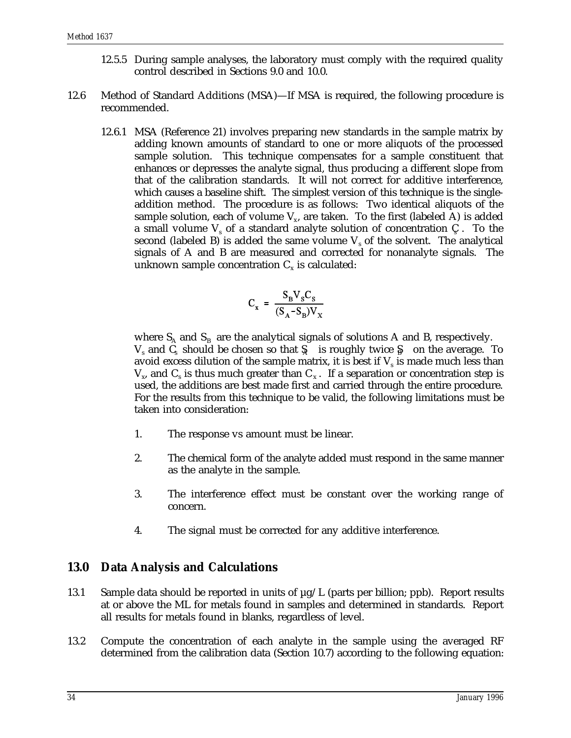- 12.5.5 During sample analyses, the laboratory must comply with the required quality control described in Sections 9.0 and 10.0.
- 12.6 Method of Standard Additions (MSA)—If MSA is required, the following procedure is recommended.
	- 12.6.1 MSA (Reference 21) involves preparing new standards in the sample matrix by adding known amounts of standard to one or more aliquots of the processed sample solution. This technique compensates for a sample constituent that enhances or depresses the analyte signal, thus producing a different slope from that of the calibration standards. It will not correct for additive interference, which causes a baseline shift. The simplest version of this technique is the singleaddition method. The procedure is as follows: Two identical aliquots of the sample solution, each of volume  $V_x$ , are taken. To the first (labeled A) is added a small volume  $V_s$  of a standard analyte solution of concentration  $C_s$ . To the second (labeled B) is added the same volume  $V_s$  of the solvent. The analytical signals of A and B are measured and corrected for nonanalyte signals. The unknown sample concentration  $C_x$  is calculated:

$$
C_x = \frac{S_B V_s C_s}{(S_A - S_B)V_x}
$$

where  $S_A$  and  $S_B$  are the analytical signals of solutions A and B, respectively.  $V_s$  and  $C_s$  should be chosen so that  $S_i$  is roughly twice  $S_i$  on the average. To avoid excess dilution of the sample matrix, it is best if  $V_s$  is made much less than  $V_{\rm x}$ , and C<sub>s</sub> is thus much greater than C<sub>x</sub>. If a separation or concentration step is used, the additions are best made first and carried through the entire procedure. For the results from this technique to be valid, the following limitations must be taken into consideration:

- 1. The response vs amount must be linear.
- 2. The chemical form of the analyte added must respond in the same manner as the analyte in the sample.
- 3. The interference effect must be constant over the working range of concern.
- 4. The signal must be corrected for any additive interference.

#### **13.0 Data Analysis and Calculations**

- 13.1 Sample data should be reported in units of  $\mu$ g/L (parts per billion; ppb). Report results at or above the ML for metals found in samples and determined in standards. Report all results for metals found in blanks, regardless of level.
- 13.2 Compute the concentration of each analyte in the sample using the averaged RF determined from the calibration data (Section 10.7) according to the following equation: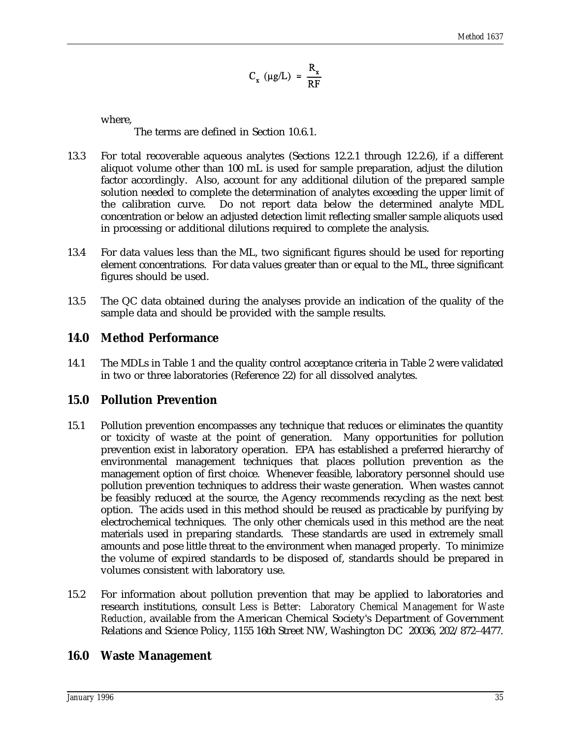$$
C_{x} (\mu g/L) = \frac{R_{x}}{RF}
$$

where,

The terms are defined in Section 10.6.1.

- 13.3 For total recoverable aqueous analytes (Sections 12.2.1 through 12.2.6), if a different aliquot volume other than 100 mL is used for sample preparation, adjust the dilution factor accordingly. Also, account for any additional dilution of the prepared sample solution needed to complete the determination of analytes exceeding the upper limit of the calibration curve. Do not report data below the determined analyte MDL concentration or below an adjusted detection limit reflecting smaller sample aliquots used in processing or additional dilutions required to complete the analysis.
- 13.4 For data values less than the ML, two significant figures should be used for reporting element concentrations. For data values greater than or equal to the ML, three significant figures should be used.
- 13.5 The QC data obtained during the analyses provide an indication of the quality of the sample data and should be provided with the sample results.

### **14.0 Method Performance**

14.1 The MDLs in Table 1 and the quality control acceptance criteria in Table 2 were validated in two or three laboratories (Reference 22) for all dissolved analytes.

#### **15.0 Pollution Prevention**

- 15.1 Pollution prevention encompasses any technique that reduces or eliminates the quantity or toxicity of waste at the point of generation. Many opportunities for pollution prevention exist in laboratory operation. EPA has established a preferred hierarchy of environmental management techniques that places pollution prevention as the management option of first choice. Whenever feasible, laboratory personnel should use pollution prevention techniques to address their waste generation. When wastes cannot be feasibly reduced at the source, the Agency recommends recycling as the next best option. The acids used in this method should be reused as practicable by purifying by electrochemical techniques. The only other chemicals used in this method are the neat materials used in preparing standards. These standards are used in extremely small amounts and pose little threat to the environment when managed properly. To minimize the volume of expired standards to be disposed of, standards should be prepared in volumes consistent with laboratory use.
- 15.2 For information about pollution prevention that may be applied to laboratories and research institutions, consult *Less is Better: Laboratory Chemical Management for Waste Reduction*, available from the American Chemical Society's Department of Government Relations and Science Policy, 1155 16th Street NW, Washington DC 20036, 202/872–4477.

#### **16.0 Waste Management**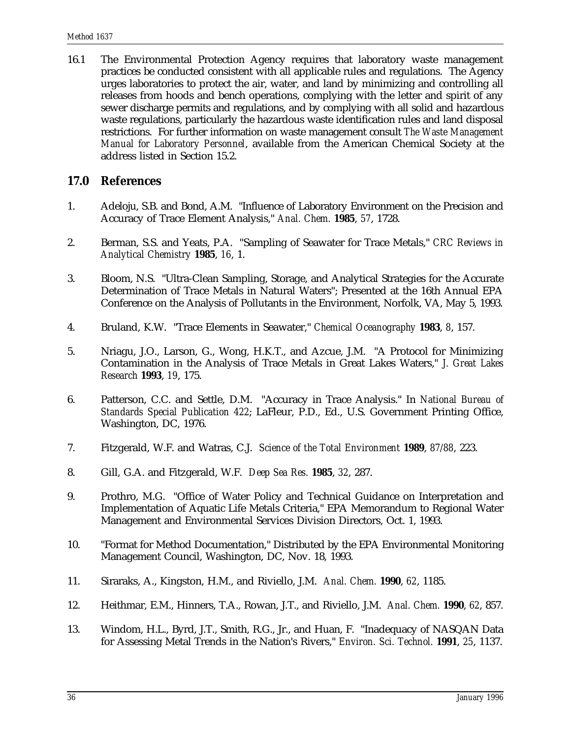16.1 The Environmental Protection Agency requires that laboratory waste management practices be conducted consistent with all applicable rules and regulations. The Agency urges laboratories to protect the air, water, and land by minimizing and controlling all releases from hoods and bench operations, complying with the letter and spirit of any sewer discharge permits and regulations, and by complying with all solid and hazardous waste regulations, particularly the hazardous waste identification rules and land disposal restrictions. For further information on waste management consult *The Waste Management Manual for Laboratory Personnel*, available from the American Chemical Society at the address listed in Section 15.2.

# **17.0 References**

- 1. Adeloju, S.B. and Bond, A.M. "Influence of Laboratory Environment on the Precision and Accuracy of Trace Element Analysis," *Anal. Chem.* **1985**, *57*, 1728.
- 2. Berman, S.S. and Yeats, P.A. "Sampling of Seawater for Trace Metals," *CRC Reviews in Analytical Chemistry* **1985**, *16*, 1.
- 3. Bloom, N.S. "Ultra-Clean Sampling, Storage, and Analytical Strategies for the Accurate Determination of Trace Metals in Natural Waters"; Presented at the 16th Annual EPA Conference on the Analysis of Pollutants in the Environment, Norfolk, VA, May 5, 1993.
- 4. Bruland, K.W. "Trace Elements in Seawater," *Chemical Oceanography* **1983**, *8*, 157.
- 5. Nriagu, J.O., Larson, G., Wong, H.K.T., and Azcue, J.M. "A Protocol for Minimizing Contamination in the Analysis of Trace Metals in Great Lakes Waters," *J. Great Lakes Research* **1993**, *19*, 175.
- 6. Patterson, C.C. and Settle, D.M. "Accuracy in Trace Analysis." In *National Bureau of Standards Special Publication 422*; LaFleur, P.D., Ed., U.S. Government Printing Office, Washington, DC, 1976.
- 7. Fitzgerald, W.F. and Watras, C.J. *Science of the Total Environment* **1989**, *87/88*, 223.
- 8. Gill, G.A. and Fitzgerald, W.F. *Deep Sea Res.* **1985**, *32*, 287.
- 9. Prothro, M.G. "Office of Water Policy and Technical Guidance on Interpretation and Implementation of Aquatic Life Metals Criteria," EPA Memorandum to Regional Water Management and Environmental Services Division Directors, Oct. 1, 1993.
- 10. "Format for Method Documentation," Distributed by the EPA Environmental Monitoring Management Council, Washington, DC, Nov. 18, 1993.
- 11. Siraraks, A., Kingston, H.M., and Riviello, J.M. *Anal. Chem.* **1990**, *62*, 1185.
- 12. Heithmar, E.M., Hinners, T.A., Rowan, J.T., and Riviello, J.M. *Anal. Chem.* **1990**, *62*, 857.
- 13. Windom, H.L., Byrd, J.T., Smith, R.G., Jr., and Huan, F. "Inadequacy of NASQAN Data for Assessing Metal Trends in the Nation's Rivers," *Environ. Sci. Technol.* **1991**, *25*, 1137.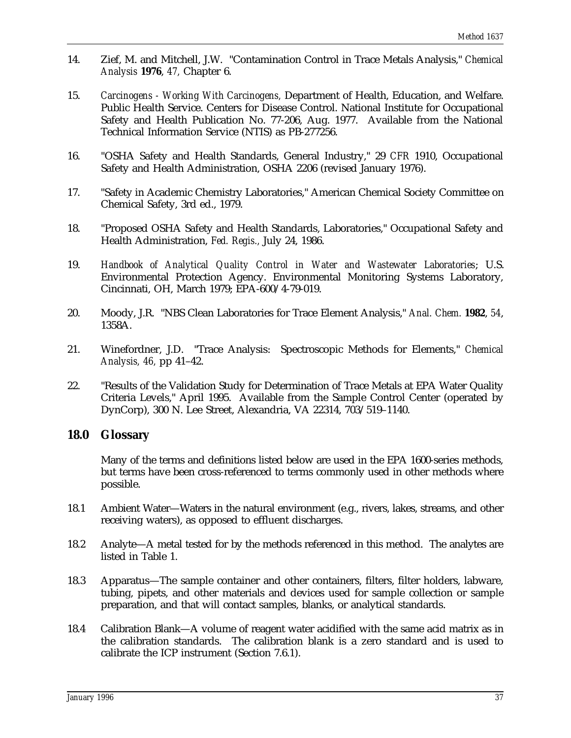- 14. Zief, M. and Mitchell, J.W. "Contamination Control in Trace Metals Analysis," *Chemical Analysis* **1976**, *47,* Chapter 6.
- 15. *Carcinogens Working With Carcinogens,* Department of Health, Education, and Welfare. Public Health Service. Centers for Disease Control. National Institute for Occupational Safety and Health Publication No. 77-206, Aug. 1977. Available from the National Technical Information Service (NTIS) as PB-277256.
- 16. "OSHA Safety and Health Standards, General Industry," 29 *CFR* 1910, Occupational Safety and Health Administration, OSHA 2206 (revised January 1976).
- 17. "Safety in Academic Chemistry Laboratories," American Chemical Society Committee on Chemical Safety, 3rd ed., 1979.
- 18. "Proposed OSHA Safety and Health Standards, Laboratories," Occupational Safety and Health Administration, *Fed. Regis.,* July 24, 1986.
- 19. *Handbook of Analytical Quality Control in Water and Wastewater Laboratories*; U.S. Environmental Protection Agency. Environmental Monitoring Systems Laboratory, Cincinnati, OH, March 1979; EPA-600/4-79-019.
- 20. Moody, J.R. "NBS Clean Laboratories for Trace Element Analysis," *Anal. Chem.* **1982**, *54*, 1358A.
- 21. Winefordner, J.D. "Trace Analysis: Spectroscopic Methods for Elements," *Chemical Analysis, 46,* pp 41–42.
- 22. "Results of the Validation Study for Determination of Trace Metals at EPA Water Quality Criteria Levels," April 1995. Available from the Sample Control Center (operated by DynCorp), 300 N. Lee Street, Alexandria, VA 22314, 703/519–1140.

#### **18.0 Glossary**

Many of the terms and definitions listed below are used in the EPA 1600-series methods, but terms have been cross-referenced to terms commonly used in other methods where possible.

- 18.1 Ambient Water—Waters in the natural environment (e.g., rivers, lakes, streams, and other receiving waters), as opposed to effluent discharges.
- 18.2 Analyte—A metal tested for by the methods referenced in this method. The analytes are listed in Table 1.
- 18.3 Apparatus—The sample container and other containers, filters, filter holders, labware, tubing, pipets, and other materials and devices used for sample collection or sample preparation, and that will contact samples, blanks, or analytical standards.
- 18.4 Calibration Blank—A volume of reagent water acidified with the same acid matrix as in the calibration standards. The calibration blank is a zero standard and is used to calibrate the ICP instrument (Section 7.6.1).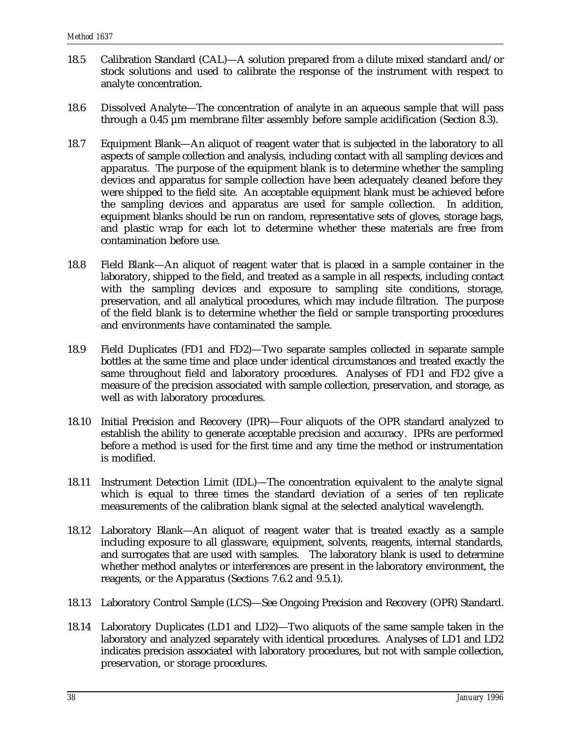- 18.5 Calibration Standard (CAL)—A solution prepared from a dilute mixed standard and/or stock solutions and used to calibrate the response of the instrument with respect to analyte concentration.
- 18.6 Dissolved Analyte—The concentration of analyte in an aqueous sample that will pass through a 0.45 µm membrane filter assembly before sample acidification (Section 8.3).
- 18.7 Equipment Blank—An aliquot of reagent water that is subjected in the laboratory to all aspects of sample collection and analysis, including contact with all sampling devices and apparatus. The purpose of the equipment blank is to determine whether the sampling devices and apparatus for sample collection have been adequately cleaned before they were shipped to the field site. An acceptable equipment blank must be achieved before the sampling devices and apparatus are used for sample collection. In addition, equipment blanks should be run on random, representative sets of gloves, storage bags, and plastic wrap for each lot to determine whether these materials are free from contamination before use.
- 18.8 Field Blank—An aliquot of reagent water that is placed in a sample container in the laboratory, shipped to the field, and treated as a sample in all respects, including contact with the sampling devices and exposure to sampling site conditions, storage, preservation, and all analytical procedures, which may include filtration. The purpose of the field blank is to determine whether the field or sample transporting procedures and environments have contaminated the sample.
- 18.9 Field Duplicates (FD1 and FD2)—Two separate samples collected in separate sample bottles at the same time and place under identical circumstances and treated exactly the same throughout field and laboratory procedures. Analyses of FD1 and FD2 give a measure of the precision associated with sample collection, preservation, and storage, as well as with laboratory procedures.
- 18.10 Initial Precision and Recovery (IPR)—Four aliquots of the OPR standard analyzed to establish the ability to generate acceptable precision and accuracy. IPRs are performed before a method is used for the first time and any time the method or instrumentation is modified.
- 18.11 Instrument Detection Limit (IDL)—The concentration equivalent to the analyte signal which is equal to three times the standard deviation of a series of ten replicate measurements of the calibration blank signal at the selected analytical wavelength.
- 18.12 Laboratory Blank—An aliquot of reagent water that is treated exactly as a sample including exposure to all glassware, equipment, solvents, reagents, internal standards, and surrogates that are used with samples. The laboratory blank is used to determine whether method analytes or interferences are present in the laboratory environment, the reagents, or the Apparatus (Sections 7.6.2 and 9.5.1).
- 18.13 Laboratory Control Sample (LCS)—See Ongoing Precision and Recovery (OPR) Standard.
- 18.14 Laboratory Duplicates (LD1 and LD2)—Two aliquots of the same sample taken in the laboratory and analyzed separately with identical procedures. Analyses of LD1 and LD2 indicates precision associated with laboratory procedures, but not with sample collection, preservation, or storage procedures.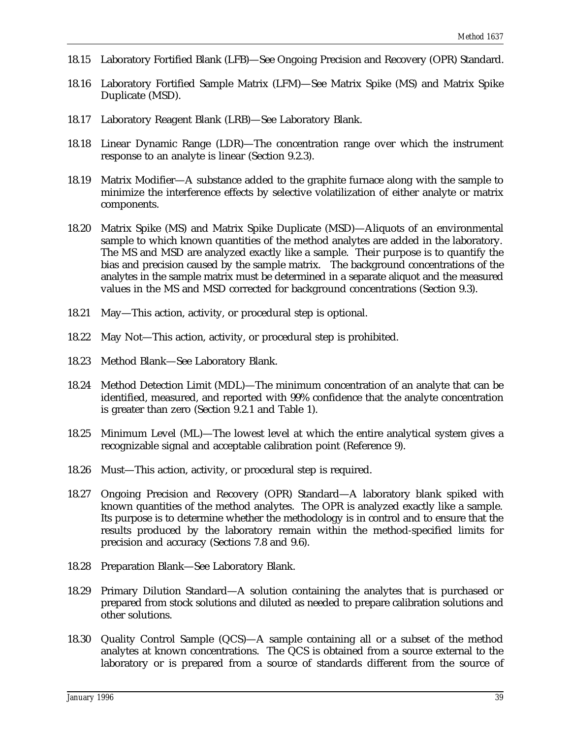- 18.15 Laboratory Fortified Blank (LFB)—See Ongoing Precision and Recovery (OPR) Standard.
- 18.16 Laboratory Fortified Sample Matrix (LFM)—See Matrix Spike (MS) and Matrix Spike Duplicate (MSD).
- 18.17 Laboratory Reagent Blank (LRB)—See Laboratory Blank.
- 18.18 Linear Dynamic Range (LDR)—The concentration range over which the instrument response to an analyte is linear (Section 9.2.3).
- 18.19 Matrix Modifier—A substance added to the graphite furnace along with the sample to minimize the interference effects by selective volatilization of either analyte or matrix components.
- 18.20 Matrix Spike (MS) and Matrix Spike Duplicate (MSD)—Aliquots of an environmental sample to which known quantities of the method analytes are added in the laboratory. The MS and MSD are analyzed exactly like a sample. Their purpose is to quantify the bias and precision caused by the sample matrix. The background concentrations of the analytes in the sample matrix must be determined in a separate aliquot and the measured values in the MS and MSD corrected for background concentrations (Section 9.3).
- 18.21 May—This action, activity, or procedural step is optional.
- 18.22 May Not—This action, activity, or procedural step is prohibited.
- 18.23 Method Blank—See Laboratory Blank.
- 18.24 Method Detection Limit (MDL)—The minimum concentration of an analyte that can be identified, measured, and reported with 99% confidence that the analyte concentration is greater than zero (Section 9.2.1 and Table 1).
- 18.25 Minimum Level (ML)—The lowest level at which the entire analytical system gives a recognizable signal and acceptable calibration point (Reference 9).
- 18.26 Must—This action, activity, or procedural step is required.
- 18.27 Ongoing Precision and Recovery (OPR) Standard—A laboratory blank spiked with known quantities of the method analytes. The OPR is analyzed exactly like a sample. Its purpose is to determine whether the methodology is in control and to ensure that the results produced by the laboratory remain within the method-specified limits for precision and accuracy (Sections 7.8 and 9.6).
- 18.28 Preparation Blank—See Laboratory Blank.
- 18.29 Primary Dilution Standard—A solution containing the analytes that is purchased or prepared from stock solutions and diluted as needed to prepare calibration solutions and other solutions.
- 18.30 Quality Control Sample (QCS)—A sample containing all or a subset of the method analytes at known concentrations. The QCS is obtained from a source external to the laboratory or is prepared from a source of standards different from the source of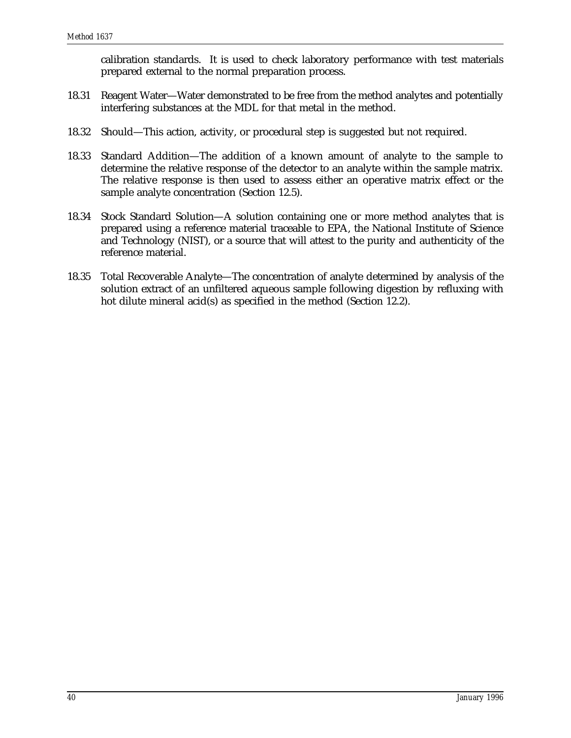calibration standards. It is used to check laboratory performance with test materials prepared external to the normal preparation process.

- 18.31 Reagent Water—Water demonstrated to be free from the method analytes and potentially interfering substances at the MDL for that metal in the method.
- 18.32 Should—This action, activity, or procedural step is suggested but not required.
- 18.33 Standard Addition—The addition of a known amount of analyte to the sample to determine the relative response of the detector to an analyte within the sample matrix. The relative response is then used to assess either an operative matrix effect or the sample analyte concentration (Section 12.5).
- 18.34 Stock Standard Solution—A solution containing one or more method analytes that is prepared using a reference material traceable to EPA, the National Institute of Science and Technology (NIST), or a source that will attest to the purity and authenticity of the reference material.
- 18.35 Total Recoverable Analyte—The concentration of analyte determined by analysis of the solution extract of an unfiltered aqueous sample following digestion by refluxing with hot dilute mineral acid(s) as specified in the method (Section 12.2).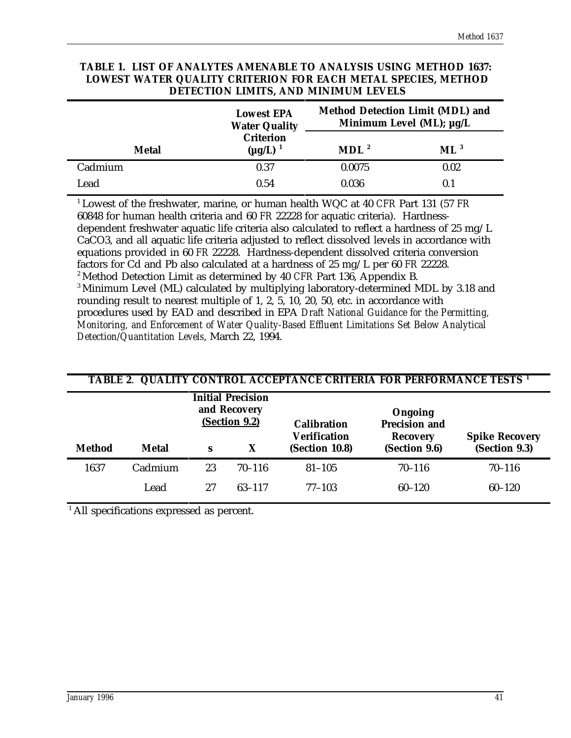| DETECTION LIMITS, AND MINIMUM LEVELS |                                           |                  |                                                                          |  |  |
|--------------------------------------|-------------------------------------------|------------------|--------------------------------------------------------------------------|--|--|
|                                      | <b>Lowest EPA</b><br><b>Water Quality</b> |                  | <b>Method Detection Limit (MDL) and</b><br>Minimum Level (ML); $\mu$ g/L |  |  |
| <b>Metal</b>                         | <b>Criterion</b><br>$(\mu g/L)^{-1}$      | MDL <sup>2</sup> | $ML^3$                                                                   |  |  |
| Cadmium                              | 0.37                                      | 0.0075           | 0.02                                                                     |  |  |
| Lead                                 | 0.54                                      | 0.036            | 0.1                                                                      |  |  |

# **TABLE 1. LIST OF ANALYTES AMENABLE TO ANALYSIS USING METHOD 1637: LOWEST WATER QUALITY CRITERION FOR EACH METAL SPECIES, METHOD**

<sup>1</sup> Lowest of the freshwater, marine, or human health WQC at 40 *CFR* Part 131 (57 *FR* 60848 for human health criteria and 60 *FR* 22228 for aquatic criteria). Hardnessdependent freshwater aquatic life criteria also calculated to reflect a hardness of 25 mg/L CaCO3, and all aquatic life criteria adjusted to reflect dissolved levels in accordance with equations provided in 60 *FR* 22228. Hardness-dependent dissolved criteria conversion factors for Cd and Pb also calculated at a hardness of 25 mg/L per 60 *FR* 22228. <sup>2</sup> Method Detection Limit as determined by 40 *CFR* Part 136, Appendix B.

<sup>3</sup> Minimum Level (ML) calculated by multiplying laboratory-determined MDL by 3.18 and rounding result to nearest multiple of 1, 2, 5, 10, 20, 50, etc. in accordance with procedures used by EAD and described in EPA *Draft National Guidance for the Permitting, Monitoring, and Enforcement of Water Quality-Based Effluent Limitations Set Below Analytical Detection/Quantitation Levels*, March 22, 1994.

| TABLE 2. QUALITY CONTROL ACCEPTANCE CRITERIA FOR PERFORMANCE TESTS <sup>1</sup> |              |                                                           |            |                                           |                                                    |                       |
|---------------------------------------------------------------------------------|--------------|-----------------------------------------------------------|------------|-------------------------------------------|----------------------------------------------------|-----------------------|
|                                                                                 |              | <b>Initial Precision</b><br>and Recovery<br>(Section 9.2) |            | <b>Calibration</b><br><b>Verification</b> | Ongoing<br><b>Precision and</b><br><b>Recovery</b> | <b>Spike Recovery</b> |
| <b>Method</b>                                                                   | <b>Metal</b> | S                                                         | X          | (Section 10.8)                            | (Section 9.6)                                      | (Section 9.3)         |
| 1637                                                                            | Cadmium      | 23                                                        | $70 - 116$ | $81 - 105$                                | $70 - 116$                                         | $70 - 116$            |
|                                                                                 | Lead         | 27                                                        | $63 - 117$ | $77 - 103$                                | $60 - 120$                                         | $60 - 120$            |

 $<sup>1</sup>$  All specifications expressed as percent.</sup>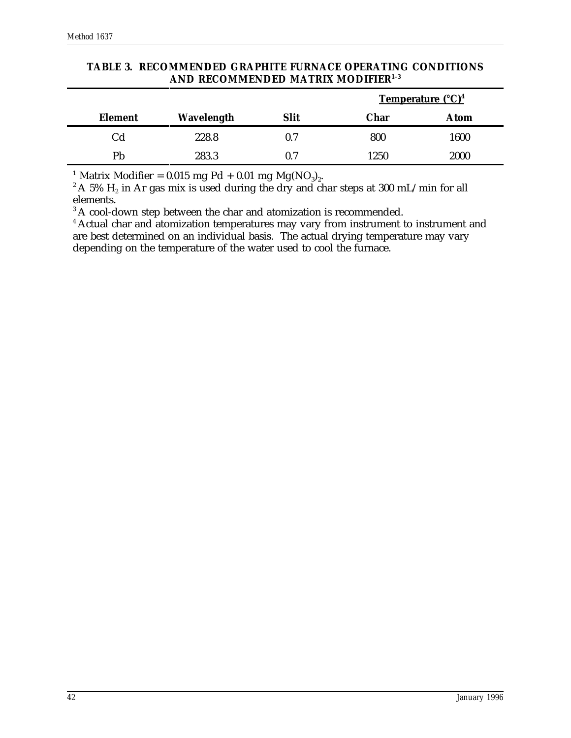|                     |            |             | <b>Temperature</b> (°C) <sup>4</sup> |      |
|---------------------|------------|-------------|--------------------------------------|------|
| <b>Element</b>      | Wavelength | <b>Slit</b> | Char                                 | Atom |
| $\operatorname{Cd}$ | 228.8      | $0.7\,$     | 800                                  | 1600 |
| Pb                  | 283.3      | 0.7         | 1250                                 | 2000 |

#### **TABLE 3. RECOMMENDED GRAPHITE FURNACE OPERATING CONDITIONS AND RECOMMENDED MATRIX MODIFIER1–3**

<sup>1</sup> Matrix Modifier = 0.015 mg Pd + 0.01 mg Mg(NO<sub>3</sub>)<sub>2</sub>.

 $^2$  A 5%  $\rm H_{2}$  in Ar gas mix is used during the dry and char steps at 300 mL/min for all elements.

<sup>3</sup> A cool-down step between the char and atomization is recommended.

<sup>4</sup> Actual char and atomization temperatures may vary from instrument to instrument and are best determined on an individual basis. The actual drying temperature may vary depending on the temperature of the water used to cool the furnace.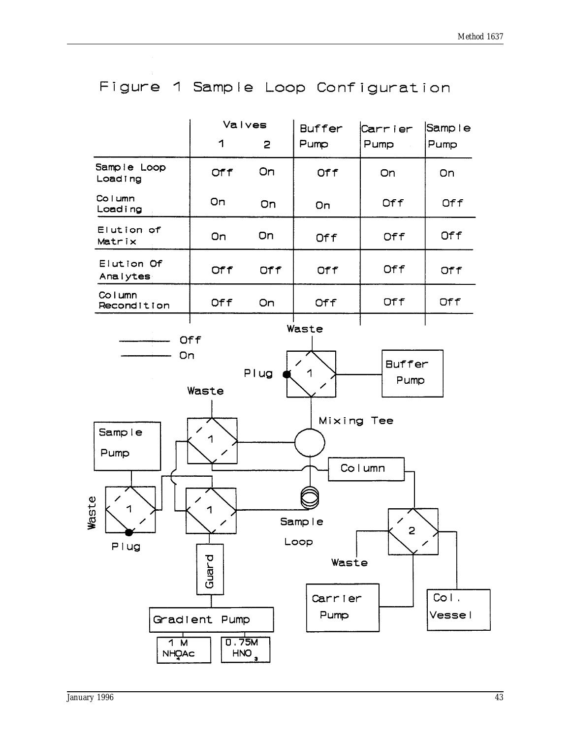

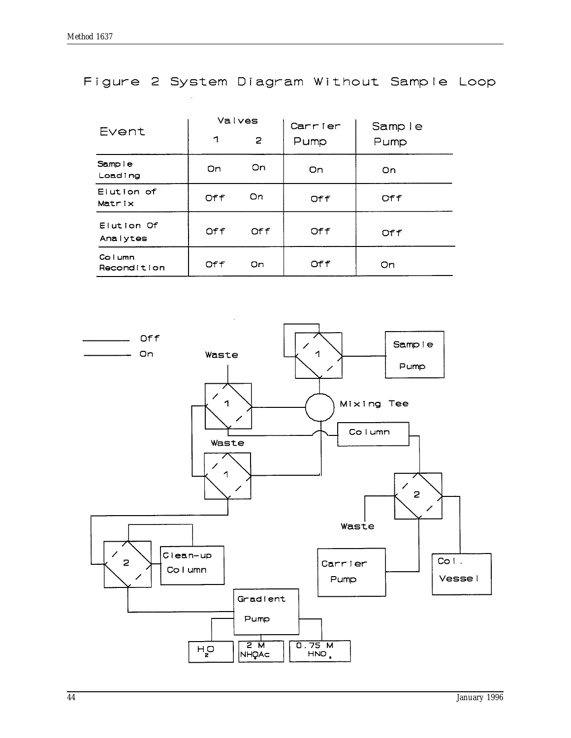# Figure 2 System Diagram Without Sample Loop

| Event                     | Valves |      | Carrier | Sample |
|---------------------------|--------|------|---------|--------|
|                           | ┑      | 2    | Pump    | Pump   |
| Sample<br>Loading         | On     | On.  | On      | On     |
| Elution of<br>Matrix      | Off    | On   | Off     | Of f   |
| Elution Of<br>Analytes    | Off    | Of f | Off     | Off    |
| $C0$ $Lmm$<br>Recondition | Off    | On   | Off     | On     |